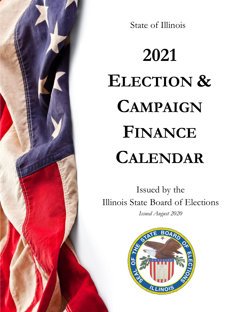State of Illinois

# **2021 ELECTION & CAMPAIGN FINANCE CALENDAR**

Issued by the Illinois State Board of Elections *Issued August 2020*

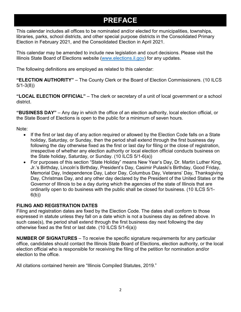### **PREFACE**

This calendar includes all offices to be nominated and/or elected for municipalities, townships, libraries, parks, school districts, and other special purpose districts in the Consolidated Primary Election in February 2021, and the Consolidated Election in April 2021.

This calendar may be amended to include new legislation and court decisions. Please visit the Illinois State Board of Elections website [\(www.elections.il.gov\)](http://www.elections.il.gov/) for any updates.

The following definitions are employed as related to this calendar:

**"ELECTION AUTHORITY"** – The County Clerk or the Board of Election Commissioners. (10 ILCS 5/1-3(8))

**"LOCAL ELECTION OFFICIAL"** – The clerk or secretary of a unit of local government or a school district.

**"BUSINESS DAY"** – Any day in which the office of an election authority, local election official, or the State Board of Elections is open to the public for a minimum of seven hours.

Note:

- If the first or last day of any action required or allowed by the Election Code falls on a State holiday, Saturday, or Sunday, then the period shall extend through the first business day following the day otherwise fixed as the first or last day for filing or the close of registration, irrespective of whether any election authority or local election official conducts business on the State holiday, Saturday, or Sunday. (10 ILCS 5/1-6(a))
- For purposes of this section "State Holiday" means New Year's Day, Dr. Martin Luther King, Jr.'s Birthday, Lincoln's Birthday, President's Day, Casimir Pulaski's Birthday, Good Friday, Memorial Day, Independence Day, Labor Day, Columbus Day, Veterans' Day, Thanksgiving Day, Christmas Day, and any other day declared by the President of the United States or the Governor of Illinois to be a day during which the agencies of the state of Illinois that are ordinarily open to do business with the public shall be closed for business. (10 ILCS 5/1- 6(b))

#### **FILING AND REGISTRATION DATES**

Filing and registration dates are fixed by the Election Code. The dates shall conform to those expressed in statute unless they fall on a date which is not a business day as defined above. In such case(s), the period shall extend through the first business day next following the day otherwise fixed as the first or last date. (10 ILCS 5/1-6(a))

**NUMBER OF SIGNATURES** – To receive the specific signature requirements for any particular office, candidates should contact the Illinois State Board of Elections, election authority, or the local election official who is responsible for receiving the filing of the petition for nomination and/or election to the office.

All citations contained herein are "Illinois Compiled Statutes, 2019."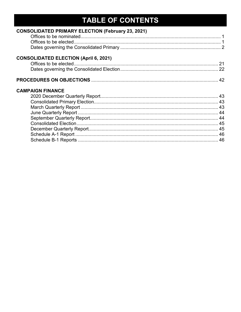### TABLE OF CONTENTS

| <b>CONSOLIDATED PRIMARY ELECTION (February 23, 2021)</b> |  |
|----------------------------------------------------------|--|
|                                                          |  |
| <b>CONSOLIDATED ELECTION (April 6, 2021)</b>             |  |
|                                                          |  |
|                                                          |  |
| <b>CAMPAIGN FINANCE</b>                                  |  |
|                                                          |  |
|                                                          |  |
|                                                          |  |
|                                                          |  |
|                                                          |  |
|                                                          |  |
|                                                          |  |
|                                                          |  |
|                                                          |  |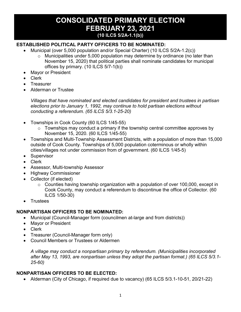#### **CONSOLIDATED PRIMARY ELECTION FEBRUARY 23, 2021 (10 ILCS 5/2A-1.1(b))**

#### **ESTABLISHED POLITICAL PARTY OFFICERS TO BE NOMINATED:**

- Municipal (over 5,000 population and/or Special Charter) (10 ILCS 5/2A-1.2(c))
	- o Municipalities under 5,000 population may determine by ordinance (no later than November 15, 2020) that political parties shall nominate candidates for municipal offices by primary. (10 ILCS 5/7-1(b))
- Mayor or President
- Clerk
- Treasurer
- Alderman or Trustee

*Villages that have nominated and elected candidates for president and trustees in partisan elections prior to January 1, 1992, may continue to hold partisan elections without conducting a referendum. (65 ILCS 5/3.1-25-20)*

- Townships in Cook County (60 ILCS 1/45-55)
	- $\circ$  Townships may conduct a primary if the township central committee approves by November 15, 2020. (60 ILCS 1/45-55)
- Townships and Multi-Township Assessment Districts, with a population of more than 15,000 outside of Cook County. Townships of 5,000 population coterminous or wholly within cities/villages not under commission from of government. (60 ILCS 1/45-5)
- Supervisor
- Clerk
- Assessor, Multi-township Assessor
- Highway Commissioner
- Collector (if elected)
	- $\circ$  Counties having township organization with a population of over 100,000, except in Cook County, may conduct a referendum to discontinue the office of Collector. (60 ILCS 1/50-30)
- **Trustees**

#### **NONPARTISAN OFFICERS TO BE NOMINATED:**

- Municipal (Council-Manager form (councilmen at-large and from districts))
- Mayor or President
- Clerk
- Treasurer (Council-Manager form only)
- Council Members or Trustees or Aldermen

*A village may conduct a nonpartisan primary by referendum. (Municipalities incorporated after May 13, 1993, are nonpartisan unless they adopt the partisan format.) (65 ILCS 5/3.1- 25-60)*

#### **NONPARTISAN OFFICERS TO BE ELECTED:**

• Alderman (City of Chicago, if required due to vacancy) (65 ILCS 5/3.1-10-51, 20/21-22)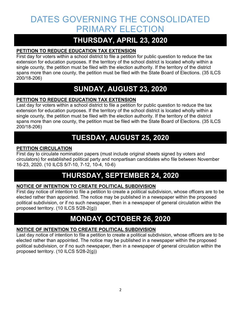### DATES GOVERNING THE CONSOLIDATED PRIMARY ELECTION

### **THURSDAY, APRIL 23, 2020**

#### **PETITION TO REDUCE EDUCATION TAX EXTENSION**

First day for voters within a school district to file a petition for public question to reduce the tax extension for education purposes. If the territory of the school district is located wholly within a single county, the petition must be filed with the election authority. If the territory of the district spans more than one county, the petition must be filed with the State Board of Elections. (35 ILCS 200/18-206)

### **SUNDAY, AUGUST 23, 2020**

#### **PETITION TO REDUCE EDUCATION TAX EXTENSION**

Last day for voters within a school district to file a petition for public question to reduce the tax extension for education purposes. If the territory of the school district is located wholly within a single county, the petition must be filed with the election authority. If the territory of the district spans more than one county, the petition must be filed with the State Board of Elections. (35 ILCS 200/18-206)

### **TUESDAY, AUGUST 25, 2020**

#### **PETITION CIRCULATION**

First day to circulate nomination papers (must include original sheets signed by voters and circulators) for established political party and nonpartisan candidates who file between November 16-23, 2020. (10 ILCS 5/7-10, 7-12, 10-4, 10-6)

### **THURSDAY, SEPTEMBER 24, 2020**

#### **NOTICE OF INTENTION TO CREATE POLITICAL SUBDIVISION**

First day notice of intention to file a petition to create a political subdivision, whose officers are to be elected rather than appointed. The notice may be published in a newspaper within the proposed political subdivision, or if no such newspaper, then in a newspaper of general circulation within the proposed territory. (10 ILCS 5/28-2(g))

### **MONDAY, OCTOBER 26, 2020**

#### **NOTICE OF INTENTION TO CREATE POLITICAL SUBDIVISION**

Last day notice of intention to file a petition to create a political subdivision, whose officers are to be elected rather than appointed. The notice may be published in a newspaper within the proposed political subdivision, or if no such newspaper, then in a newspaper of general circulation within the proposed territory. (10 ILCS 5/28-2(g))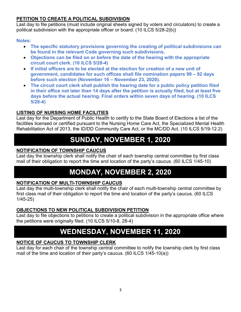#### **PETITION TO CREATE A POLITICAL SUBDIVISION**

Last day to file petitions (must include original sheets signed by voters and circulators) to create a political subdivision with the appropriate officer or board. (10 ILCS 5/28-2(b))

#### **Notes:**

- **The specific statutory provisions governing the creating of political subdivisions can be found in the relevant Code governing such subdivisions.**
- **Objections can be filed on or before the date of the hearing with the appropriate circuit court clerk. (10 ILCS 5/28-4)**
- **If initial officers are to be elected at the election for creation of a new unit of government, candidates for such offices shall file nomination papers 99 – 92 days before such election (November 16 – November 23, 2020).**
- **The circuit court clerk shall publish the hearing date for a public policy petition filed in their office not later than 14 days after the petition is actually filed, but at least five days before the actual hearing. Final orders within seven days of hearing. (10 ILCS 5/28-4)**

#### **LISTING OF NURSING HOME FACILITIES**

Last day for the Department of Public Health to certify to the State Board of Elections a list of the facilities licensed or certified pursuant to the Nursing Home Care Act, the Specialized Mental Health Rehabilitation Act of 2013, the ID/DD Community Care Act, or the MC/DD Act. (10 ILCS 5/19-12.2)

### **SUNDAY, NOVEMBER 1, 2020**

#### **NOTIFICATION OF TOWNSHIP CAUCUS**

Last day the township clerk shall notify the chair of each township central committee by first class mail of their obligation to report the time and location of the party's caucus. (60 ILCS 1/45-10)

### **MONDAY, NOVEMBER 2, 2020**

#### **NOTIFICATION OF MULTI-TOWNSHIP CAUCUS**

Last day the multi-township clerk shall notify the chair of each multi-township central committee by first class mail of their obligation to report the time and location of the party's caucus. (60 ILCS 1/45-25)

#### **OBJECTIONS TO NEW POLITICAL SUBDIVISION PETITION**

Last day to file objections to petitions to create a political subdivision in the appropriate office where the petitions were originally filed. (10 ILCS 5/10-8, 28-4)

### **WEDNESDAY, NOVEMBER 11, 2020**

#### **NOTICE OF CAUCUS TO TOWNSHIP CLERK**

Last day for each chair of the township central committee to notify the township clerk by first class mail of the time and location of their party's caucus. (60 ILCS 1/45-10(a))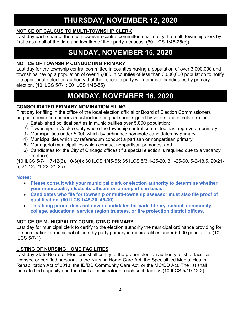#### **NOTICE OF CAUCUS TO MULTI-TOWNSHIP CLERK**

Last day each chair of the multi-township central committee shall notify the multi-township clerk by first class mail of the time and location of their party's caucus. (60 ILCS 1/45-25(c))

### **SUNDAY, NOVEMBER 15, 2020**

#### **NOTICE OF TOWNSHIP CONDUCTING PRIMARY**

Last day for the township central committee in counties having a population of over 3,000,000 and townships having a population of over 15,000 in counties of less than 3,000,000 population to notify the appropriate election authority that their specific party will nominate candidates by primary election. (10 ILCS 5/7-1; 60 ILCS 1/45-55)

### **MONDAY, NOVEMBER 16, 2020**

#### **CONSOLIDATED PRIMARY NOMINATION FILING**

First day for filing in the office of the local election official or Board of Election Commissioners original nomination papers (must include original sheet signed by voters and circulators) for:

- 1) Established political parties in municipalities over 5,000 population;
- 2) Townships in Cook county where the township central committee has approved a primary;
- 3) Municipalities under 5,000 which by ordinance nominate candidates by primary;
- 4) Municipalities which by referendum conduct a partisan or nonpartisan primary;
- 5) Managerial municipalities which conduct nonpartisan primaries; and
- 6) Candidates for the City of Chicago offices (if a special election is required due to a vacancy in office).

(10 ILCS 5/7-1, 7-12(3), 10-6(4); 60 ILCS 1/45-55; 65 ILCS 5/3.1-25-20, 3.1-25-60, 5-2-18.5, 20/21- 5, 21-12, 21-22, 21-25)

#### **Notes:**

- **Please consult with your municipal clerk or election authority to determine whether your municipality elects its officers on a nonpartisan basis.**
- **Candidates who file for township or multi-township assessor must also file proof of qualification. (60 ILCS 1/45-20, 45-30)**
- **This filing period does not cover candidates for park, library, school, community college, educational service region trustees, or fire protection district offices.**

#### **NOTICE OF MUNICIPALITY CONDUCTING PRIMARY**

Last day for municipal clerk to certify to the election authority the municipal ordinance providing for the nomination of municipal officers by party primary in municipalities under 5,000 population. (10 ILCS 5/7-1)

#### **LISTING OF NURSING HOME FACILITIES**

Last day State Board of Elections shall certify to the proper election authority a list of facilities licensed or certified pursuant to the Nursing Home Care Act, the Specialized Mental Health Rehabilitation Act of 2013, the ID/DD Community Care Act, or the MC/DD Act. The list shall indicate bed capacity and the chief administrator of each such facility. (10 ILCS 5/19-12.2)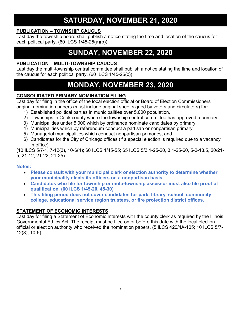### **SATURDAY, NOVEMBER 21, 2020**

#### **PUBLICATION – TOWNSHIP CAUCUS**

Last day the township board shall publish a notice stating the time and location of the caucus for each political party. (60 ILCS 1/45-25(a)(b))

### **SUNDAY, NOVEMBER 22, 2020**

#### **PUBLICATION – MULTI-TOWNSHIP CAUCUS**

Last day the multi-township central committee shall publish a notice stating the time and location of the caucus for each political party. (60 ILCS 1/45-25(c))

### **MONDAY, NOVEMBER 23, 2020**

#### **CONSOLIDATED PRIMARY NOMINATION FILING**

Last day for filing in the office of the local election official or Board of Election Commissioners original nomination papers (must include original sheet signed by voters and circulators) for:

- 1) Established political parties in municipalities over 5,000 population,
- 2) Townships in Cook county where the township central committee has approved a primary,
- 3) Municipalities under 5,000 which by ordinance nominate candidates by primary,
- 4) Municipalities which by referendum conduct a partisan or nonpartisan primary,
- 5) Managerial municipalities which conduct nonpartisan primaries, and
- 6) Candidates for the City of Chicago offices (if a special election is required due to a vacancy in office).

(10 ILCS 5/7-1, 7-12(3), 10-6(4); 60 ILCS 1/45-55; 65 ILCS 5/3.1-25-20, 3.1-25-60, 5-2-18.5, 20/21- 5, 21-12, 21-22, 21-25)

#### **Notes:**

- **Please consult with your municipal clerk or election authority to determine whether your municipality elects its officers on a nonpartisan basis.**
- **Candidates who file for township or multi-township assessor must also file proof of qualification. (60 ILCS 1/45-20, 45-30)**
- **This filing period does not cover candidates for park, library, school, community college, educational service region trustees, or fire protection district offices.**

#### **STATEMENT OF ECONOMIC INTERESTS**

Last day for filing a Statement of Economic Interests with the county clerk as required by the Illinois Governmental Ethics Act. The receipt must be filed on or before this date with the local election official or election authority who received the nomination papers. (5 ILCS 420/4A-105; 10 ILCS 5/7- 12(8), 10-5)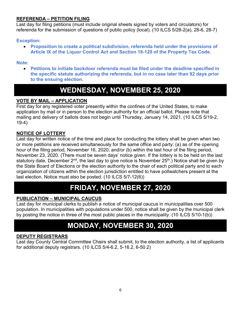#### **REFERENDA – PETITION FILING**

Last day for filing petitions (must include original sheets signed by voters and circulators) for referenda for the submission of questions of public policy (local). (10 ILCS 5/28-2(a), 28-6, 28-7)

#### **Exception:**

• **Proposition to create a political subdivision, referenda held under the provisions of Article IX of the Liquor Control Act and Section 18-120 of the Property Tax Code.** 

#### **Note:**

• **Petitions to initiate backdoor referenda must be filed under the deadline specified in the specific statute authorizing the referenda, but in no case later than 92 days prior to the ensuing election.**

### **WEDNESDAY, NOVEMBER 25, 2020**

#### **VOTE BY MAIL – APPLICATION**

First day for any registered voter presently within the confines of the United States, to make application by mail or in person to the election authority for an official ballot. Please note that mailing and delivery of ballots does not begin until Thursday, January 14, 2021. (10 ILCS 5/19-2, 19-4)

#### **NOTICE OF LOTTERY**

Last day for written notice of the time and place for conducting the lottery shall be given when two or more petitions are received simultaneously for the same office and party: (a) as of the opening hour of the filing period, November 16, 2020; and/or (b) within the last hour of the filing period, November 23, 2020. (There must be seven days' notice given. If the lottery is to be held on the last statutory date, December  $2^{nd}$ , the last day to give notice is November  $25<sup>th</sup>$ .) Notice shall be given by the State Board of Elections or the election authority to the chair of each political party and to each organization of citizens within the election jurisdiction entitled to have pollwatchers present at the last election. Notice must also be posted. (10 ILCS 5/7-12(6))

### **FRIDAY, NOVEMBER 27, 2020**

#### **PUBLICATION – MUNICIPAL CAUCUS**

Last day for municipal clerks to publish a notice of municipal caucus in municipalities over 500 population. In municipalities with populations under 500, notice shall be given by the municipal clerk by posting the notice in three of the most public places in the municipality. (10 ILCS 5/10-1(b))

### **MONDAY, NOVEMBER 30, 2020**

#### **DEPUTY REGISTRARS**

Last day County Central Committee Chairs shall submit, to the election authority, a list of applicants for additional deputy registrars. (10 ILCS 5/4-6.2, 5-16.2, 6-50.2)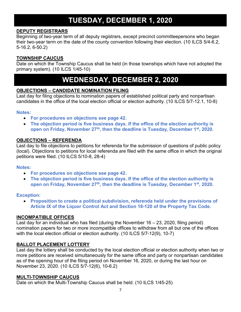### **TUESDAY, DECEMBER 1, 2020**

#### **DEPUTY REGISTRARS**

Beginning of two-year term of all deputy registrars, except precinct committeepersons who began their two-year term on the date of the county convention following their election. (10 ILCS 5/4-6.2, 5-16.2, 6-50.2)

#### **TOWNSHIP CAUCUS**

Date on which the Township Caucus shall be held (in those townships which have not adopted the primary system). (10 ILCS 1/45-10)

### **WEDNESDAY, DECEMBER 2, 2020**

#### **OBJECTIONS – CANDIDATE NOMINATION FILING**

Last day for filing objections to nomination papers of established political party and nonpartisan candidates in the office of the local election official or election authority. (10 ILCS 5/7-12.1, 10-8)

#### **Notes:**

- **For procedures on objections see page 42.**
- **The objection period is five business days. If the office of the election authority is**  open on Friday, November 27<sup>th</sup>, then the deadline is Tuesday, December 1<sup>st</sup>, 2020.

#### **OBJECTIONS – REFERENDA**

Last day to file objections to petitions for referenda for the submission of questions of public policy (local). Objections to petitions for local referenda are filed with the same office in which the original petitions were filed. (10 ILCS 5/10-8, 28-4)

#### **Notes:**

- **For procedures on objections see page 42.**
- **The objection period is five business days. If the office of the election authority is open on Friday, November 27th, then the deadline is Tuesday, December 1st, 2020.**

#### **Exception:**

• **Proposition to create a political subdivision, referenda held under the provisions of Article IX of the Liquor Control Act and Section 18-120 of the Property Tax Code.**

#### **INCOMPATIBLE OFFICES**

Last day for an individual who has filed (during the November 16 – 23, 2020, filing period) nomination papers for two or more incompatible offices to withdraw from all but one of the offices with the local election official or election authority. (10 ILCS 5/7-12(9), 10-7)

#### **BALLOT PLACEMENT LOTTERY**

Last day the lottery shall be conducted by the local election official or election authority when two or more petitions are received simultaneously for the same office and party or nonpartisan candidates as of the opening hour of the filing period on November 16, 2020, or during the last hour on November 23, 2020. (10 ILCS 5/7-12(6), 10-6.2)

#### **MULTI-TOWNSHIP CAUCUS**

Date on which the Multi-Township Caucus shall be held. (10 ILCS 1/45-25)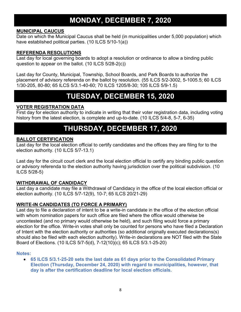### **MONDAY, DECEMBER 7, 2020**

#### **MUNICIPAL CAUCUS**

Date on which the Municipal Caucus shall be held (in municipalities under 5,000 population) which have established political parties. (10 ILCS 5/10-1(a))

#### **REFERENDA RESOLUTIONS**

Last day for local governing boards to adopt a resolution or ordinance to allow a binding public question to appear on the ballot. (10 ILCS 5/28-2(c))

Last day for County, Municipal, Township, School Boards, and Park Boards to authorize the placement of advisory referenda on the ballot by resolution. (55 ILCS 5/2-3002, 5-1005.5; 60 ILCS 1/30-205, 80-80; 65 ILCS 5/3.1-40-60; 70 ILCS 1205/8-30; 105 ILCS 5/9-1.5)

### **TUESDAY, DECEMBER 15, 2020**

#### **VOTER REGISTRATION DATA**

First day for election authority to indicate in writing that their voter registration data, including voting history from the latest election, is complete and up-to-date. (10 ILCS 5/4-8, 5-7, 6-35)

### **THURSDAY, DECEMBER 17, 2020**

#### **BALLOT CERTIFICATION**

Last day for the local election official to certify candidates and the offices they are filing for to the election authority. (10 ILCS 5/7-13.1)

Last day for the circuit court clerk and the local election official to certify any binding public question or advisory referenda to the election authority having jurisdiction over the political subdivision. (10 ILCS 5/28-5)

#### **WITHDRAWAL OF CANDIDACY**

Last day a candidate may file a Withdrawal of Candidacy in the office of the local election official or election authority. (10 ILCS 5/7-12(9), 10-7; 65 ILCS 20/21-29)

#### **WRITE-IN CANDIDATES (TO FORCE A PRIMARY)**

Last day to file a declaration of intent to be a write-in candidate in the office of the election official with whom nomination papers for such office are filed where the office would otherwise be uncontested (and no primary would otherwise be held), and such filing would force a primary election for the office. Write-in votes shall only be counted for persons who have filed a Declaration of Intent with the election authority or authorities (so additional originally executed declarations(s) should also be filed with each election authority). Write-in declarations are NOT filed with the State Board of Elections. (10 ILCS 5/7-5(d), 7-12(10)(c); 65 ILCS 5/3.1-25-20)

#### **Notes:**

• **65 ILCS 5/3.1-25-20 sets the last date as 61 days prior to the Consolidated Primary Election (Thursday, December 24, 2020) with regard to municipalities, however, that day is after the certification deadline for local election officials.**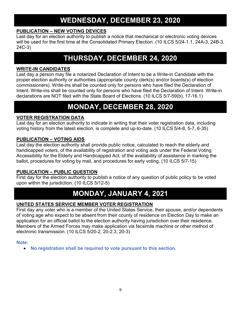### **WEDNESDAY, DECEMBER 23, 2020**

#### **PUBLICATION – NEW VOTING DEVICES**

Last day for an election authority to publish a notice that mechanical or electronic voting devices will be used for the first time at the Consolidated Primary Election. (10 ILCS 5/24-1.1, 24A-3, 24B-3, 24C-3)

### **THURSDAY, DECEMBER 24, 2020**

#### **WRITE-IN CANDIDATES**

Last day a person may file a notarized Declaration of Intent to be a Write-in Candidate with the proper election authority or authorities (appropriate county clerk(s) and/or boards(s) of election commissioners). Write-ins shall be counted only for persons who have filed the Declaration of Intent. Write-ins shall be counted only for persons who have filed the Declaration of Intent. Write-in declarations are NOT filed with the State Board of Elections. (10 ILCS 5/7-59(b), 17-16.1)

### **MONDAY, DECEMBER 28, 2020**

#### **VOTER REGISTRATION DATA**

Last day for an election authority to indicate in writing that their voter registration data, including voting history from the latest election, is complete and up-to-date. (10 ILCS 5/4-8, 5-7, 6-35)

#### **PUBLICATION – VOTING AIDS**

Last day the election authority shall provide public notice, calculated to reach the elderly and handicapped voters, of the availability of registration and voting aids under the Federal Voting Accessibility for the Elderly and Handicapped Act, of the availability of assistance in marking the ballot, procedures for voting by mail, and procedures for early voting. (10 ILCS 5/7-15)

#### **PUBLICATION – PUBLIC QUESTION**

First day for the election authority to publish a notice of any question of public policy to be voted upon within the jurisdiction. (10 ILCS 5/12-5)

### **MONDAY, JANUARY 4, 2021**

#### **UNITED STATES SERVICE MEMBER VOTER REGISTRATION**

First day any voter who is a member of the United States Service, their spouse, and/or dependents of voting age who expect to be absent from their county of residence on Election Day to make an application for an official ballot to the election authority having jurisdiction over their residence. Members of the Armed Forces may make application via facsimile machine or other method of electronic transmission. (10 ILCS 5/20-2, 20-2.3, 20-3)

#### **Note:**

• **No registration shall be required to vote pursuant to this section.**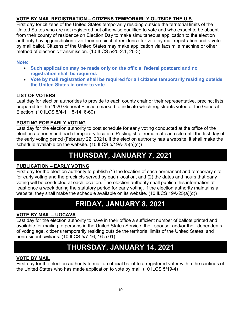#### **VOTE BY MAIL REGISTRATION – CITIZENS TEMPORARILY OUTSIDE THE U.S.**

First day for citizens of the United States temporarily residing outside the territorial limits of the United States who are not registered but otherwise qualified to vote and who expect to be absent from their county of residence on Election Day to make simultaneous application to the election authority having jurisdiction over their precinct of residence for vote by mail registration and a vote by mail ballot. Citizens of the United States may make application via facsimile machine or other method of electronic transmission. (10 ILCS 5/20-2.1, 20-3)

#### **Note:**

- **Such application may be made only on the official federal postcard and no registration shall be required.**
- **Vote by mail registration shall be required for all citizens temporarily residing outside the United States in order to vote.**

#### **LIST OF VOTERS**

Last day for election authorities to provide to each county chair or their representative, precinct lists prepared for the 2020 General Election marked to indicate which registrants voted at the General Election. (10 ILCS 5/4-11, 5-14, 6-60)

#### **POSTING FOR EARLY VOTING**

Last day for the election authority to post schedule for early voting conducted at the office of the election authority and each temporary location. Posting shall remain at each site until the last day of the early voting period (February 22, 2021). If the election authority has a website, it shall make the schedule available on the website. (10 ILCS 5/19A-25(b)(d))

### **THURSDAY, JANUARY 7, 2021**

#### **PUBLICATION – EARLY VOTING**

First day for the election authority to publish (1) the location of each permanent and temporary site for early voting and the precincts served by each location, and (2) the dates and hours that early voting will be conducted at each location. The election authority shall publish this information at least once a week during the statutory period for early voting. If the election authority maintains a website, they shall make the schedule available on its website. (10 ILCS 19A-25(a)(d))

### **FRIDAY, JANUARY 8, 2021**

#### **VOTE BY MAIL – UOCAVA**

Last day for the election authority to have in their office a sufficient number of ballots printed and available for mailing to persons in the United States Service, their spouse, and/or their dependents of voting age, citizens temporarily residing outside the territorial limits of the United States, and nonresident civilians. (10 ILCS 5/7-16, 16-5.01)

### **THURSDAY, JANUARY 14, 2021**

#### **VOTE BY MAIL**

First day for the election authority to mail an official ballot to a registered voter within the confines of the United States who has made application to vote by mail. (10 ILCS 5/19-4)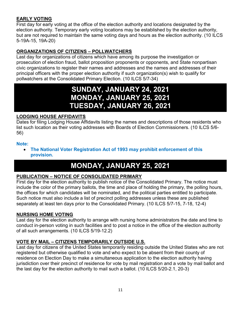#### **EARLY VOTING**

First day for early voting at the office of the election authority and locations designated by the election authority. Temporary early voting locations may be established by the election authority, but are not required to maintain the same voting days and hours as the election authority. (10 ILCS 5-19A-15, 19A-20)

#### **ORGANIZATIONS OF CITIZENS – POLLWATCHERS**

Last day for organizations of citizens which have among its purpose the investigation or prosecution of election fraud, ballot proposition proponents or opponents, and State nonpartisan civic organizations to register their names and addresses and the names and addresses of their principal officers with the proper election authority if such organization(s) wish to qualify for pollwatchers at the Consolidated Primary Election. (10 ILCS 5/7-34)

### **SUNDAY, JANUARY 24, 2021 MONDAY, JANUARY 25, 2021 TUESDAY, JANUARY 26, 2021**

#### **LODGING HOUSE AFFIDAVITS**

Dates for filing Lodging House Affidavits listing the names and descriptions of those residents who list such location as their voting addresses with Boards of Election Commissioners. (10 ILCS 5/6- 56)

#### **Note:**

• **The National Voter Registration Act of 1993 may prohibit enforcement of this provision.**

### **MONDAY, JANUARY 25, 2021**

#### **PUBLICATION – NOTICE OF CONSOLIDATED PRIMARY**

First day for the election authority to publish notice of the Consolidated Primary. The notice must include the color of the primary ballots, the time and place of holding the primary, the polling hours, the offices for which candidates will be nominated, and the political parties entitled to participate. Such notice must also include a list of precinct polling addresses unless these are published separately at least ten days prior to the Consolidated Primary. (10 ILCS 5/7-15, 7-18, 12-4)

#### **NURSING HOME VOTING**

Last day for the election authority to arrange with nursing home administrators the date and time to conduct in-person voting in such facilities and to post a notice in the office of the election authority of all such arrangements. (10 ILCS 5/19-12.2)

#### **VOTE BY MAIL – CITIZENS TEMPORARILY OUTSIDE U.S.**

Last day for citizens of the United States temporarily residing outside the United States who are not registered but otherwise qualified to vote and who expect to be absent from their county of residence on Election Day to make a simultaneous application to the election authority having jurisdiction over their precinct of residence for vote by mail registration and a vote by mail ballot and the last day for the election authority to mail such a ballot. (10 ILCS 5/20-2.1, 20-3)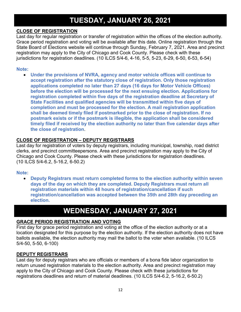### **TUESDAY, JANUARY 26, 2021**

#### **CLOSE OF REGISTRATION**

Last day for regular registration or transfer of registration within the offices of the election authority. Grace period registration and voting will be available after this date. Online registration through the State Board of Elections website will continue through Sunday, February 7, 2021. Area and precinct registration may apply to the City of Chicago and Cook County. Please check with these jurisdictions for registration deadlines. (10 ILCS 5/4-6, 4-16, 5-5, 5-23, 6-29, 6-50, 6-53, 6-54)

#### **Note:**

• **Under the provisions of NVRA, agency and motor vehicle offices will continue to accept registration after the statutory close of registration. Only those registration applications completed no later than 27 days (16 days for Motor Vehicle Offices) before the election will be processed for the next ensuing election. Applications for registration completed within five days of the registration deadline at Secretary of State Facilities and qualified agencies will be transmitted within five days of completion and must be processed for the election. A mail registration application shall be deemed timely filed if postmarked prior to the close of registration. If no postmark exists or if the postmark is illegible, the application shall be considered timely filed if received by the election authority no later than five calendar days after the close of registration**.

#### **CLOSE OF REGISTRATION – DEPUTY REGISTRARS**

Last day for registration of voters by deputy registrars, including municipal, township, road district clerks, and precinct committeepersons. Area and precinct registration may apply to the City of Chicago and Cook County. Please check with these jurisdictions for registration deadlines. (10 ILCS 5/4-6.2, 5-16.2, 6-50.2)

#### **Note:**

• **Deputy Registrars must return completed forms to the election authority within seven days of the day on which they are completed. Deputy Registrars must return all registration materials within 48 hours of registration/cancellation if such registration/cancellation was accepted between the 35th and 28th day preceding an election.**

### **WEDNESDAY, JANUARY 27, 2021**

#### **GRACE PERIOD REGISTRATION AND VOTING**

First day for grace period registration and voting at the office of the election authority or at a location designated for this purpose by the election authority. If the election authority does not have ballots available, the election authority may mail the ballot to the voter when available. (10 ILCS 5/4-50, 5-50, 6-100)

#### **DEPUTY REGISTRARS**

Last day for deputy registrars who are officials or members of a bona fide labor organization to return unused registration materials to the election authority. Area and precinct registration may apply to the City of Chicago and Cook County. Please check with these jurisdictions for registrations deadlines and return of material deadlines. (10 ILCS 5/4-6.2, 5-16.2, 6-50.2)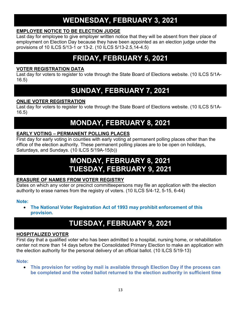### **WEDNESDAY, FEBRUARY 3, 2021**

#### **EMPLOYEE NOTICE TO BE ELECTION JUDGE**

Last day for employee to give employer written notice that they will be absent from their place of employment on Election Day because they have been appointed as an election judge under the provisions of 10 ILCS 5/13-1 or 13-2. (10 ILCS 5/13-2.5,14-4.5)

### **FRIDAY, FEBRUARY 5, 2021**

#### **VOTER REGISTRATION DATA**

Last day for voters to register to vote through the State Board of Elections website. (10 ILCS 5/1A-16.5)

### **SUNDAY, FEBRUARY 7, 2021**

#### **ONLIE VOTER REGISTRATION**

Last day for voters to register to vote through the State Board of Elections website. (10 ILCS 5/1A-16.5)

### **MONDAY, FEBRUARY 8, 2021**

#### **EARLY VOTING – PERMANENT POLLING PLACES**

First day for early voting in counties with early voting at permanent polling places other than the office of the election authority. These permanent polling places are to be open on holidays, Saturdays, and Sundays. (10 ILCS 5/19A-15(b))

### **MONDAY, FEBRUARY 8, 2021 TUESDAY, FEBRUARY 9, 2021**

#### **ERASURE OF NAMES FROM VOTER REGISTRY**

Dates on which any voter or precinct committeepersons may file an application with the election authority to erase names from the registry of voters. (10 ILCS 5/4-12, 5-15, 6-44)

#### **Note:**

• **The National Voter Registration Act of 1993 may prohibit enforcement of this provision.**

### **TUESDAY, FEBRUARY 9, 2021**

#### **HOSPITALIZED VOTER**

First day that a qualified voter who has been admitted to a hospital, nursing home, or rehabilitation center not more than 14 days before the Consolidated Primary Election to make an application with the election authority for the personal delivery of an official ballot. (10 ILCS 5/19-13)

#### **Note:**

• **This provision for voting by mail is available through Election Day if the process can be completed and the voted ballot returned to the election authority in sufficient time**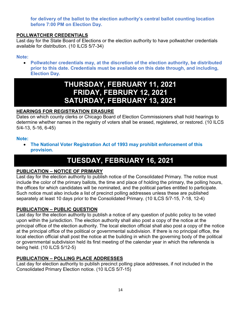#### **for delivery of the ballot to the election authority's central ballot counting location before 7:00 PM on Election Day.**

#### **POLLWATCHER CREDENTIALS**

Last day for the State Board of Elections or the election authority to have pollwatcher credentials available for distribution. (10 ILCS 5/7-34)

#### **Note:**

• **Pollwatcher credentials may, at the discretion of the election authority, be distributed prior to this date. Credentials must be available on this date through, and including, Election Day.**

### **THURSDAY, FEBRUARY 11, 2021 FRIDAY, FEBRURY 12, 2021 SATURDAY, FEBRUARY 13, 2021**

#### **HEARINGS FOR REGISTRATION ERASURE**

Dates on which county clerks or Chicago Board of Election Commissioners shall hold hearings to determine whether names in the registry of voters shall be erased, registered, or restored. (10 ILCS 5/4-13, 5-16, 6-45)

#### **Note:**

• **The National Voter Registration Act of 1993 may prohibit enforcement of this provision.**

### **TUESDAY, FEBRUARY 16, 2021**

#### **PUBLICATION – NOTICE OF PRIMARY**

Last day for the election authority to publish notice of the Consolidated Primary. The notice must include the color of the primary ballots, the time and place of holding the primary, the polling hours, the offices for which candidates will be nominated, and the political parties entitled to participate. Such notice must also include a list of precinct polling addresses unless these are published separately at least 10 days prior to the Consolidated Primary. (10 ILCS 5/7-15, 7-18, 12-4)

#### **PUBLICATION – PUBLIC QUESTION**

Last day for the election authority to publish a notice of any question of public policy to be voted upon within the jurisdiction. The election authority shall also post a copy of the notice at the principal office of the election authority. The local election official shall also post a copy of the notice at the principal office of the political or governmental subdivision. If there is no principal office, the local election official shall post the notice at the building in which the governing body of the political or governmental subdivision held its first meeting of the calendar year in which the referenda is being held. (10 ILCS 5/12-5)

#### **PUBLICATION – POLLING PLACE ADDRESSES**

Last day for election authority to publish precinct polling place addresses, if not included in the Consolidated Primary Election notice. (10 ILCS 5/7-15)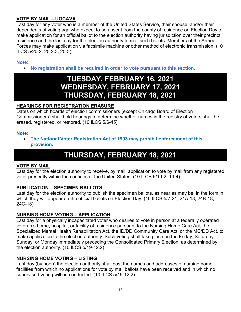#### **VOTE BY MAIL – UOCAVA**

Last day for any voter who is a member of the United States Service, their spouse, and/or their dependents of voting age who expect to be absent from the county of residence on Election Day to make application for an official ballot to the election authority having jurisdiction over their precinct residence and the last day for the election authority to mail such ballots. Members of the Armed Forces may make application via facsimile machine or other method of electronic transmission. (10 ILCS 5/20-2, 20-2.3, 20-3)

#### **Note:**

• **No registration shall be required in order to vote pursuant to this section.**

### **TUESDAY, FEBRUARY 16, 2021 WEDNESDAY, FEBRUARY 17, 2021 THURSDAY, FEBRUARY 18, 2021**

#### **HEARINGS FOR REGISTRATION ERASURE**

Dates on which boards of election commissioners (except Chicago Board of Election Commissioners) shall hold hearings to determine whether names in the registry of voters shall be erased, registered, or restored. (10 ILCS 5/6-45)

#### **Note:**

• **The National Voter Registration Act of 1993 may prohibit enforcement of this provision.**

### **THURSDAY, FEBRUARY 18, 2021**

#### **VOTE BY MAIL**

Last day for the election authority to receive, by mail, application to vote by mail from any registered voter presently within the confines of the United States. (10 ILCS 5/19-2, 19-4)

#### **PUBLICATION – SPECIMEN BALLOTS**

Last day for the election authority to publish the specimen ballots, as near as may be, in the form in which they will appear on the official ballots on Election Day. (10 ILCS 5/7-21, 24A-18, 24B-18, 24C-18)

#### **NURSING HOME VOTING – APPLICATION**

Last day for a physically incapacitated voter who desires to vote in person at a federally operated veteran's home, hospital, or facility of residence pursuant to the Nursing Home Care Act, the Specialized Mental Health Rehabilitation Act, the ID/DD Community Care Act, or the MC/DD Act, to make application to the election authority. Such voting shall take place on the Friday, Saturday, Sunday, or Monday immediately preceding the Consolidated Primary Election, as determined by the election authority. (10 ILCS 5/19-12.2)

#### **NURSING HOME VOTING – LISTING**

Last day (by noon) the election authority shall post the names and addresses of nursing home facilities from which no applications for vote by mail ballots have been received and in which no supervised voting will be conducted. (10 ILCS 5/19-12.2)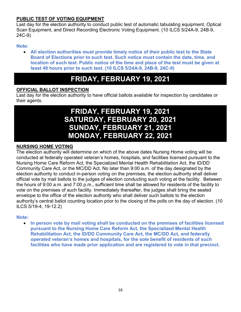#### **PUBLIC TEST OF VOTING EQUIPMENT**

Last day for the election authority to conduct public test of automatic tabulating equipment, Optical Scan Equipment, and Direct Recording Electronic Voting Equipment. (10 ILCS 5/24A-9, 24B-9, 24C-9)

#### **Note:**

• **All election authorities must provide timely notice of their public test to the State Board of Elections prior to such test. Such notice must contain the date, time, and location of such test. Public notice of the time and place of the test must be given at least 48 hours prior to such test. (10 ILCS 5/24A-9, 24B-9, 24C-9)**

### **FRIDAY, FEBRUARY 19, 2021**

#### **OFFICIAL BALLOT INSPECTION**

Last day for the election authority to have official ballots available for inspection by candidates or their agents.

### **FRIDAY, FEBRUARY 19, 2021 SATURDAY, FEBRUARY 20, 2021 SUNDAY, FEBRUARY 21, 2021 MONDAY, FEBRUARY 22, 2021**

#### **NURSING HOME VOTING**

The election authority will determine on which of the above dates Nursing Home voting will be conducted at federally operated veteran's homes, hospitals, and facilities licensed pursuant to the Nursing Home Care Reform Act, the Specialized Mental Health Rehabilitation Act, the ID/DD Community Care Act, or the MC/DD Act. No later than 9:00 a.m. of the day designated by the election authority to conduct in-person voting on the premises, the election authority shall deliver official vote by mail ballots to the judges of election conducting such voting at the facility. Between the hours of 9:00 a.m. and 7:00 p.m., sufficient time shall be allowed for residents of the facility to vote on the premises of such facility. Immediately thereafter, the judges shall bring the sealed envelope to the office of the election authority who shall deliver such ballots to the election authority's central ballot counting location prior to the closing of the polls on the day of election. (10 ILCS 5/19-4, 19-12.2)

#### **Note:**

• **In person vote by mail voting shall be conducted on the premises of facilities licensed pursuant to the Nursing Home Care Reform Act, the Specialized Mental Health Rehabilitation Act, the ID/DD Community Care Act, the MC/DD Act, and federally operated veteran's homes and hospitals, for the sole benefit of residents of such facilities who have made prior application and are registered to vote in that precinct.**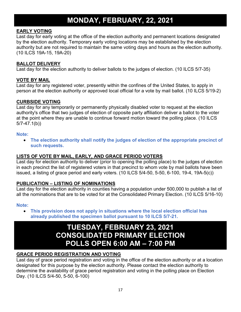### **MONDAY, FEBRUARY, 22, 2021**

#### **EARLY VOTING**

Last day for early voting at the office of the election authority and permanent locations designated by the election authority. Temporary early voting locations may be established by the election authority but are not required to maintain the same voting days and hours as the election authority. (10 ILCS 19A-15, 19A-20)

#### **BALLOT DELIVERY**

Last day for the election authority to deliver ballots to the judges of election. (10 ILCS 5/7-35)

#### **VOTE BY MAIL**

Last day for any registered voter, presently within the confines of the United States, to apply in person at the election authority or approved local official for a vote by mail ballot. (10 ILCS 5/19-2)

#### **CURBSIDE VOTING**

Last day for any temporarily or permanently physically disabled voter to request at the election authority's office that two judges of election of opposite party affiliation deliver a ballot to the voter at the point where they are unable to continue forward motion toward the polling place. (10 ILCS 5/7-47.1(b))

#### **Note:**

• **The election authority shall notify the judges of election of the appropriate precinct of such requests.** 

#### **LISTS OF VOTE BY MAIL, EARLY, AND GRACE PERIOD VOTERS**

Last day for election authority to deliver (prior to opening the polling place) to the judges of election in each precinct the list of registered voters in that precinct to whom vote by mail ballots have been issued, a listing of grace period and early voters. (10 ILCS 5/4-50, 5-50, 6-100, 19-4, 19A-5(c))

#### **PUBLICATION – LISTING OF NOMINATIONS**

Last day for the election authority in counties having a population under 500,000 to publish a list of all the nominations that are to be voted for at the Consolidated Primary Election. (10 ILCS 5/16-10)

#### **Note:**

• **This provision does not apply in situations where the local election official has already published the specimen ballot pursuant to 10 ILCS 5/7-21.**

### **TUESDAY, FEBRUARY 23, 2021 CONSOLIDATED PRIMARY ELECTION POLLS OPEN 6:00 AM – 7:00 PM**

#### **GRACE PERIOD REGISTRATION AND VOTING**

Last day of grace period registration and voting in the office of the election authority or at a location designated for this purpose by the election authority. Please contact the election authority to determine the availability of grace period registration and voting in the polling place on Election Day. (10 ILCS 5/4-50, 5-50, 6-100)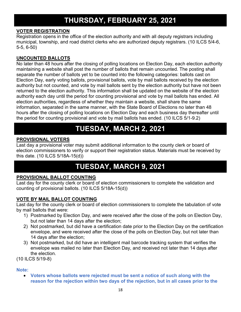### **THURSDAY, FEBRUARY 25, 2021**

#### **VOTER REGISTRATION**

Registration opens in the office of the election authority and with all deputy registrars including municipal, township, and road district clerks who are authorized deputy registrars. (10 ILCS 5/4-6, 5-5, 6-50)

#### **UNCOUNTED BALLOTS**

No later than 48 hours after the closing of polling locations on Election Day, each election authority maintaining a website shall post the number of ballots that remain uncounted. The posting shall separate the number of ballots yet to be counted into the following categories: ballots cast on Election Day, early voting ballots, provisional ballots, vote by mail ballots received by the election authority but not counted, and vote by mail ballots sent by the election authority but have not been returned to the election authority. This information shall be updated on the website of the election authority each day until the period for counting provisional and vote by mail ballots has ended. All election authorities, regardless of whether they maintain a website, shall share the same information, separated in the same manner, with the State Board of Elections no later than 48 hours after the closing of polling locations on Election Day and each business day thereafter until the period for counting provisional and vote by mail ballots has ended. (10 ILCS 5/1-9.2)

### **TUESDAY, MARCH 2, 2021**

#### **PROVISIONAL VOTERS**

Last day a provisional voter may submit additional information to the county clerk or board of election commissioners to verify or support their registration status. Materials must be received by this date. (10 ILCS 5/18A-15(d))

### **TUESDAY, MARCH 9, 2021**

#### **PROVISIONAL BALLOT COUNTING**

Last day for the county clerk or board of election commissioners to complete the validation and counting of provisional ballots. (10 ILCS 5/18A-15(d))

#### **VOTE BY MAIL BALLOT COUNTING**

Last day for the county clerk or board of election commissioners to complete the tabulation of vote by mail ballots that were:

- 1) Postmarked by Election Day, and were received after the close of the polls on Election Day, but not later than 14 days after the election;
- 2) Not postmarked, but did have a certification date prior to the Election Day on the certification envelope, and were received after the close of the polls on Election Day, but not later than 14 days after the election;
- 3) Not postmarked, but did have an intelligent mail barcode tracking system that verifies the envelope was mailed no later than Election Day, and received not later than 14 days after the election.

(10 ILCS 5/19-8)

#### **Note:**

• **Voters whose ballots were rejected must be sent a notice of such along with the reason for the rejection within two days of the rejection, but in all cases prior to the**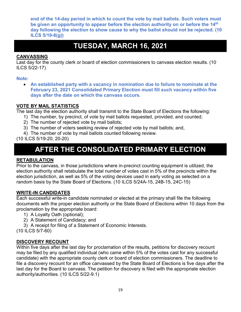**end of the 14-day period in which to count the vote by mail ballots. Such voters must be given an opportunity to appear before the election authority on or before the 14th day following the election to show cause to why the ballot should not be rejected. (10 ILCS 5/19-8(g))**

### **TUESDAY, MARCH 16, 2021**

#### **CANVASSING**

Last day for the county clerk or board of election commissioners to canvass election results. (10 ILCS 5/22-17)

#### **Note:**

• **An established party with a vacancy in nomination due to failure to nominate at the February 23, 2021 Consolidated Primary Election must fill such vacancy within five days after the date on which the canvass occurs.** 

#### **VOTE BY MAIL STATISTICS**

The last day the election authority shall transmit to the State Board of Elections the following:

- 1) The number, by precinct, of vote by mail ballots requested, provided, and counted;
- 2) The number of rejected vote by mail ballots;
- 3) The number of voters seeking review of rejected vote by mail ballots; and,
- 4) The number of vote by mail ballots counted following review.

(10 ILCS 5/19-20, 20-20)

### **AFTER THE CONSOLIDATED PRIMARY ELECTION**

#### **RETABULATION**

Prior to the canvass, in those jurisdictions where in-precinct counting equipment is utilized, the election authority shall retabulate the total number of votes cast in 5% of the precincts within the election jurisdiction, as well as 5% of the voting devices used in early voting as selected on a random basis by the State Board of Elections. (10 ILCS 5/24A-15, 24B-15, 24C-15)

#### **WRITE-IN CANDIDATES**

Each successful write-in candidate nominated or elected at the primary shall file the following documents with the proper election authority or the State Board of Elections within 10 days from the proclamation by the appropriate board:

- 1) A Loyalty Oath (optional);
- 2) A Statement of Candidacy; and
- 3) A receipt for filing of a Statement of Economic Interests.

(10 ILCS 5/7-60)

#### **DISCOVERY RECOUNT**

Within five days after the last day for proclamation of the results, petitions for discovery recount may be filed by any qualified individual (who came within 5% of the votes cast for any successful candidate) with the appropriate county clerk or board of election commissioners. The deadline to file a discovery recount for an office canvassed by the State Board of Elections is five days after the last day for the Board to canvass. The petition for discovery is filed with the appropriate election authority/authorities. (10 ILCS 5/22-9.1)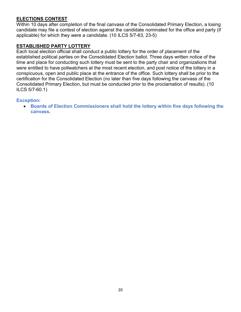#### **ELECTIONS CONTEST**

Within 10 days after completion of the final canvass of the Consolidated Primary Election, a losing candidate may file a contest of election against the candidate nominated for the office and party (if applicable) for which they were a candidate. (10 ILCS 5/7-63, 23-5)

#### **ESTABLISHED PARTY LOTTERY**

Each local election official shall conduct a public lottery for the order of placement of the established political parties on the Consolidated Election ballot. Three days written notice of the time and place for conducting such lottery must be sent to the party chair and organizations that were entitled to have pollwatchers at the most recent election, and post notice of the lottery in a conspicuous, open and public place at the entrance of the office. Such lottery shall be prior to the certification for the Consolidated Election (no later than five days following the canvass of the Consolidated Primary Election, but must be conducted prior to the proclamation of results). (10 ILCS 5/7-60.1)

#### **Exception:**

• **Boards of Election Commissioners shall hold the lottery within five days following the canvass.**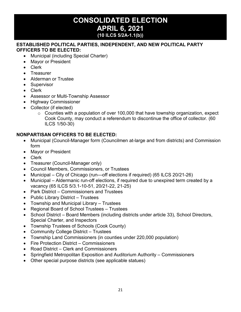### **CONSOLIDATED ELECTION APRIL 6, 2021 (10 ILCS 5/2A-1.1(b))**

#### **ESTABLISHED POLITICAL PARTIES, INDEPENDENT, AND NEW POLITICAL PARTY OFFICERS TO BE ELECTED:**

- Municipal (including Special Charter)
- Mayor or President
- Clerk
- Treasurer
- Alderman or Trustee
- Supervisor
- Clerk
- Assessor or Multi-Township Assessor
- Highway Commissioner
- Collector (if elected)
	- $\circ$  Counties with a population of over 100,000 that have township organization, expect Cook County, may conduct a referendum to discontinue the office of collector. (60 ILCS 1/50-30)

#### **NONPARTISAN OFFICERS TO BE ELECTED:**

- Municipal (Council-Manager form (Councilmen at-large and from districts) and Commission form
- Mayor or President
- Clerk
- Treasurer (Council-Manager only)
- Council Members, Commissioners, or Trustees
- Municipal City of Chicago (run—off elections if required) (65 ILCS 20/21-26)
- Municipal Aldermanic run-off elections, if required due to unexpired term created by a vacancy (65 ILCS 5/3.1-10-51, 20/21-22, 21-25)
- Park District Commissioners and Trustees
- Public Library District Trustees
- Township and Municipal Library Trustees
- Regional Board of School Trustees Trustees
- School District Board Members (including districts under article 33), School Directors, Special Charter, and Inspectors
- Township Trustees of Schools (Cook County)
- Community College District Trustees
- Township Land Commissioners (in counties under 220,000 population)
- Fire Protection District Commissioners
- Road District Clerk and Commissioners
- Springfield Metropolitan Exposition and Auditorium Authority Commissioners
- Other special purpose districts (see applicable statues)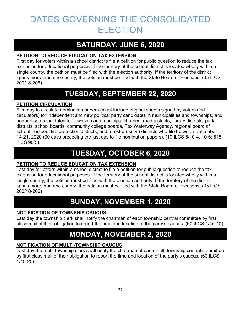### DATES GOVERNING THE CONSOLIDATED ELECTION

### **SATURDAY, JUNE 6, 2020**

#### **PETITION TO REDUCE EDUCATION TAX EXTENSION**

First day for voters within a school district to file a petition for public question to reduce the tax extension for educational purposes. If the territory of the school district is located wholly within a single county, the petition must be filed with the election authority. If the territory of the district spans more than one county, the petition must be filed with the State Board of Elections. (35 ILCS 200/18-206)

### **TUESDAY, SEPTEMBER 22, 2020**

#### **PETITION CIRCULATION**

First day to circulate nomination papers (must include original sheets signed by voters and circulators) for independent and new political party candidates in municipalities and townships, and nonpartisan candidates for township and municipal libraries, road districts, library districts, park districts, school boards, community college boards, Fox Waterway Agency, regional board of school trustees, fire protection districts, and forest preserve districts who file between December 14-21, 2020 (90 days preceding the last day to file nomination papers). (10 ILCS 5/10-4, 10-6; 615 ILCS 90/5)

### **TUESDAY, OCTOBER 6, 2020**

#### **PETITION TO REDUCE EDUCATION TAX EXTENSION**

Last day for voters within a school district to file a petition for public question to reduce the tax extension for educational purposes. If the territory of the school district is located wholly within a single county, the petition must be filed with the election authority. If the territory of the district spans more than one county, the petition must be filed with the State Board of Elections. (35 ILCS 200/18-206)

### **SUNDAY, NOVEMBER 1, 2020**

#### **NOTIFICATION OF TOWNSHIP CAUCUS**

Last day the township clerk shall notify the chairman of each township central committee by first class mail of their obligation to report the time and location of the party's caucus. (60 ILCS 1/45-10)

### **MONDAY, NOVEMBER 2, 2020**

#### **NOTIFICATION OF MULTI-TOWNSHIP CAUCUS**

Last day the multi-township clerk shall notify the chairman of each multi-township central committee by first class mail of their obligation to report the time and location of the party's caucus. (60 ILCS 1/45-25)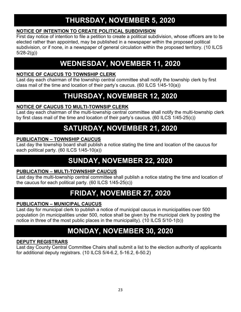### **THURSDAY, NOVEMBER 5, 2020**

#### **NOTICE OF INTENTION TO CREATE POLITICAL SUBDIVISION**

First day notice of intention to file a petition to create a political subdivision, whose officers are to be elected rather than appointed, may be published in a newspaper within the proposed political subdivision, or if none, in a newspaper of general circulation within the proposed territory. (10 ILCS 5/28-2(g))

### **WEDNESDAY, NOVEMBER 11, 2020**

#### **NOTICE OF CAUCUS TO TOWNSHIP CLERK**

Last day each chairman of the township central committee shall notify the township clerk by first class mail of the time and location of their party's caucus. (60 ILCS 1/45-10(a))

### **THURSDAY, NOVEMBER 12, 2020**

#### **NOTICE OF CAUCUS TO MULTI-TOWNSIP CLERK**

Last day each chairman of the multi-township central committee shall notify the multi-township clerk by first class mail of the time and location of their party's caucus. (60 ILCS 1/45-25(c))

### **SATURDAY, NOVEMBER 21, 2020**

#### **PUBLICATION – TOWNSHIP CAUCUS**

Last day the township board shall publish a notice stating the time and location of the caucus for each political party. (60 ILCS 1/45-10(a))

### **SUNDAY, NOVEMBER 22, 2020**

#### **PUBLICATION – MULTI-TOWNSHIP CAUCUS**

Last day the multi-township central committee shall publish a notice stating the time and location of the caucus for each political party. (60 ILCS 1/45-25(c))

### **FRIDAY, NOVEMBER 27, 2020**

#### **PUBLICATION – MUNICIPAL CAUCUS**

Last day for municipal clerk to publish a notice of municipal caucus in municipalities over 500 population (in municipalities under 500, notice shall be given by the municipal clerk by posting the notice in three of the most public places in the municipality). (10 ILCS 5/10-1(b))

### **MONDAY, NOVEMBER 30, 2020**

#### **DEPUTY REGISTRARS**

Last day County Central Committee Chairs shall submit a list to the election authority of applicants for additional deputy registrars. (10 ILCS 5/4-6.2, 5-16.2, 6-50.2)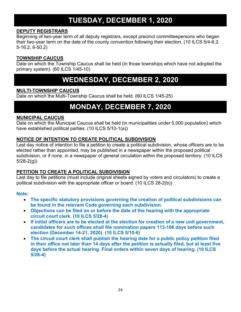### **TUESDAY, DECEMBER 1, 2020**

#### **DEPUTY REGISTRARS**

Beginning of two-year term of all deputy registrars, except precinct committeepersons who began their two-year term on the date of the county convention following their election. (10 ILCS 5/4-6.2, 5-16.2, 6-50.2)

#### **TOWNSHIP CAUCUS**

Date on which the Township Caucus shall be held (in those townships which have not adopted the primary system). (60 ILCS 1/45-10)

### **WEDNESDAY, DECEMBER 2, 2020**

#### **MULTI-TOWNSHIP CAUCUS**

Date on which the Multi-Township Caucus shall be held. (60 ILCS 1/45-25)

### **MONDAY, DECEMBER 7, 2020**

#### **MUNICIPAL CAUCUS**

Date on which the Municipal Caucus shall be held (in municipalities under 5,000 population) which have established political parties. (10 ILCS 5/10-1(a))

#### **NOTICE OF INTENTION TO CREATE POLITICAL SUBDIVISION**

Last day notice of intention to file a petition to create a political subdivision, whose officers are to be elected rather than appointed, may be published in a newspaper within the proposed political subdivision, or if none, in a newspaper of general circulation within the proposed territory. (10 ILCS 5/28-2(g))

#### **PETITION TO CREATE A POLITICAL SUBDIVISION**

Last day to file petitions (must include original sheets signed by voters and circulators) to create a political subdivision with the appropriate officer or board. (10 ILCS 28-2(b))

#### **Note:**

- **The specific statutory provisions governing the creation of political subdivisions can be found in the relevant Code governing each subdivision.**
- **Objections can be filed on or before the date of the hearing with the appropriate circuit court clerk. (10 ILCS 5/28-4)**
- **If initial officers are to be elected at the election for creation of a new unit government, candidates for such offices shall file nomination papers 113-106 days before such election (December 14-21, 2020). (10 ILCS 5/10-6)**
- **The circuit court clerk shall publish the hearing date for a public policy petition filed in their office not later than 14 days after the petition is actually filed, but at least five days before the actual hearing. Final orders within seven days of hearing. (10 ILCS 5/28-4)**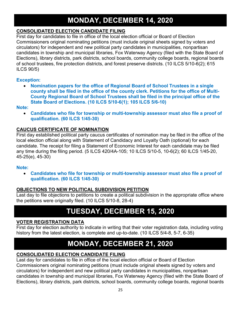### **MONDAY, DECEMBER 14, 2020**

#### **CONSOLIDATED ELECTION CANDIDATE FILING**

First day for candidates to file in office of the local election official or Board of Election Commissioners original nominating petitions (must include original sheets signed by voters and circulators) for independent and new political party candidates in municipalities, nonpartisan candidates in township and municipal libraries, Fox Waterway Agency (filed with the State Board of Elections), library districts, park districts, school boards, community college boards, regional boards of school trustees, fire protection districts, and forest preserve districts. (10 ILCS 5/10-6(2); 615 ILCS 90/5)

#### **Exception:**

• **Nomination papers for the office of Regional Board of School Trustees in a single county shall be filed in the office of the county clerk. Petitions for the office of Multi-County Regional Board of School Trustees shall be filed in the principal office of the State Board of Elections. (10 ILCS 5/10-6(1); 105 ILCS 5/6-10)**

#### **Note:**

• **Candidates who file for township or multi-township assessor must also file a proof of qualification. (60 ILCS 1/45-30)**

#### **CAUCUS CERTIFICATE OF NOMINATION**

First day established political party caucus certificates of nomination may be filed in the office of the local election official along with Statement of Candidacy and Loyalty Oath (optional) for each candidate. The receipt for filing a Statement of Economic Interest for each candidate may be filed any time during the filing period. (5 ILCS 420/4A-105; 10 ILCS 5/10-5, 10-6(2); 60 ILCS 1/45-20, 45-25(e), 45-30)

#### **Note:**

• **Candidates who file for township or multi-township assessor must also file a proof of qualification. (60 ILCS 1/45-30)**

#### **OBJECTIONS TO NEW POLITICAL SUBDIVISION PETITION**

Last day to file objections to petitions to create a political subdivision in the appropriate office where the petitions were originally filed. (10 ILCS 5/10-8, 28-4)

### **TUESDAY, DECEMBER 15, 2020**

#### **VOTER REGISTRATION DATA**

First day for election authority to indicate in writing that their voter registration data, including voting history from the latest election, is complete and up-to-date. (10 ILCS 5/4-8, 5-7, 6-35)

### **MONDAY, DECEMBER 21, 2020**

#### **CONSOLIDATED ELECTION CANDIDATE FILING**

Last day for candidates to file in office of the local election official or Board of Election Commissioners original nominating petitions (must include original sheets signed by voters and circulators) for independent and new political party candidates in municipalities, nonpartisan candidates in township and municipal libraries, Fox Waterway Agency (filed with the State Board of Elections), library districts, park districts, school boards, community college boards, regional boards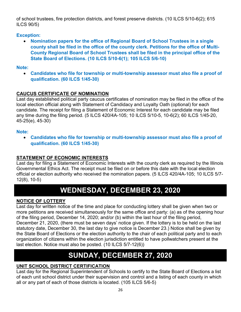of school trustees, fire protection districts, and forest preserve districts. (10 ILCS 5/10-6(2); 615 ILCS 90/5)

#### **Exception:**

• **Nomination papers for the office of Regional Board of School Trustees in a single county shall be filed in the office of the county clerk. Petitions for the office of Multi-County Regional Board of School Trustees shall be filed in the principal office of the State Board of Elections. (10 ILCS 5/10-6(1); 105 ILCS 5/6-10)**

#### **Note:**

• **Candidates who file for township or multi-township assessor must also file a proof of qualification. (60 ILCS 1/45-30)**

#### **CAUCUS CERTIFICATE OF NOMINATION**

Last day established political party caucus certificates of nomination may be filed in the office of the local election official along with Statement of Candidacy and Loyalty Oath (optional) for each candidate. The receipt for filing a Statement of Economic Interest for each candidate may be filed any time during the filing period. (5 ILCS 420/4A-105; 10 ILCS 5/10-5, 10-6(2); 60 ILCS 1/45-20, 45-25(e), 45-30)

#### **Note:**

• **Candidates who file for township or multi-township assessor must also file a proof of qualification. (60 ILCS 1/45-30)**

#### **STATEMENT OF ECONOMIC INTERESTS**

Last day for filing a Statement of Economic Interests with the county clerk as required by the Illinois Governmental Ethics Act. The receipt must be filed on or before this date with the local election official or election authority who received the nomination papers. (5 ILCS 420/4A-105; 10 ILCS 5/7- 12(8), 10-5)

### **WEDNESDAY, DECEMBER 23, 2020**

#### **NOTICE OF LOTTERY**

Last day for written notice of the time and place for conducting lottery shall be given when two or more petitions are received simultaneously for the same office and party: (a) as of the opening hour of the filing period, December 14, 2020; and/or (b) within the last hour of the filing period, December 21, 2020, (there must be seven days' notice given. If the lottery is to be held on the last statutory date, December 30, the last day to give notice is December 23.) Notice shall be given by the State Board of Elections or the election authority to the chair of each political party and to each organization of citizens within the election jurisdiction entitled to have pollwatchers present at the last election. Notice must also be posted. (10 ILCS 5/7-12(6))

### **SUNDAY, DECEMBER 27, 2020**

#### **UNIT SCHOOL DISTRICT CERTIFICATION**

Last day for the Regional Superintendent of Schools to certify to the State Board of Elections a list of each unit school district under their supervision and control and a listing of each county in which all or any part of each of those districts is located. (105 ILCS 5/6-5)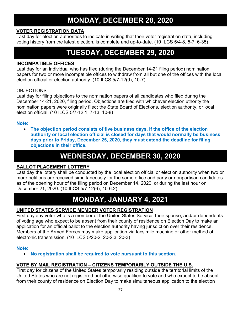### **MONDAY, DECEMBER 28, 2020**

#### **VOTER REGISTRATION DATA**

Last day for election authorities to indicate in writing that their voter registration data, including voting history from the latest election, is complete and up-to-date. (10 ILCS 5/4-8, 5-7, 6-35)

### **TUESDAY, DECEMBER 29, 2020**

#### **INCOMPATIBLE OFFICES**

Last day for an individual who has filed (during the December 14-21 filing period) nomination papers for two or more incompatible offices to withdraw from all but one of the offices with the local election official or election authority. (10 ILCS 5/7-12(9), 10-7)

#### OBJECTIONS

Last day for filing objections to the nomination papers of all candidates who filed during the December 14-21, 2020, filing period. Objections are filed with whichever election uthority the nomination papers were originally filed: the State Board of Elections, election authority, or local election official. (10 ILCS 5/7-12.1, 7-13, 10-8)

#### **Note:**

• **The objection period consists of five business days. If the office of the election authority or local election official is closed for days that would normally be business days prior to Friday, December 25, 2020, they must extend the deadline for filing objections in their office.**

### **WEDNESDAY, DECEMBER 30, 2020**

#### **BALLOT PLACEMENT LOTTERY**

Last day the lottery shall be conducted by the local election official or election authority when two or more petitions are received simultaneously for the same office and party or nonpartisan candidates as of the opening hour of the filing period on December 14, 2020, or during the last hour on December 21, 2020. (10 ILCS 5/7-12(6), 10-6.2)

### **MONDAY, JANUARY 4, 2021**

#### **UNITED STATES SERVICE MEMBER VOTER REGISTRATION**

First day any voter who is a member of the United States Service, their spouse, and/or dependents of voting age who expect to be absent from their county of residence on Election Day to make an application for an official ballot to the election authority having jurisdiction over their residence. Members of the Armed Forces may make application via facsimile machine or other method of electronic transmission. (10 ILCS 5/20-2, 20-2.3, 20-3)

#### **Note:**

• **No registration shall be required to vote pursuant to this section.** 

#### **VOTE BY MAIL REGISTRATION – CITIZENS TEMPORARILY OUTSIDE THE U.S.**

First day for citizens of the United States temporarily residing outside the territorial limits of the United States who are not registered but otherwise qualified to vote and who expect to be absent from their county of residence on Election Day to make simultaneous application to the election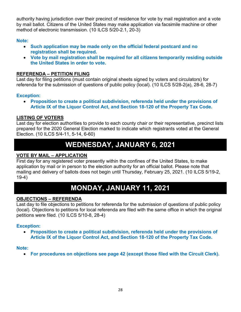authority having jurisdiction over their precinct of residence for vote by mail registration and a vote by mail ballot. Citizens of the United States may make application via facsimile machine or other method of electronic transmission. (10 ILCS 5/20-2.1, 20-3)

#### **Note:**

- **Such application may be made only on the official federal postcard and no registration shall be required.**
- **Vote by mail registration shall be required for all citizens temporarily residing outside the United States in order to vote.**

#### **REFERENDA – PETITION FILING**

Last day for filing petitions (must contain original sheets signed by voters and circulators) for referenda for the submission of questions of public policy (local). (10 ILCS 5/28-2(a), 28-6, 28-7)

#### **Exception:**

• **Proposition to create a political subdivision, referenda held under the provisions of Article IX of the Liquor Control Act, and Section 18-120 of the Property Tax Code.** 

#### **LISTING OF VOTERS**

Last day for election authorities to provide to each county chair or their representative, precinct lists prepared for the 2020 General Election marked to indicate which registrants voted at the General Election. (10 ILCS 5/4-11, 5-14, 6-60)

### **WEDNESDAY, JANUARY 6, 2021**

#### **VOTE BY MAIL – APPLICATION**

First day for any registered voter presently within the confines of the United States, to make application by mail or in person to the election authority for an official ballot. Please note that mailing and delivery of ballots does not begin until Thursday, February 25, 2021. (10 ILCS 5/19-2, 19-4)

### **MONDAY, JANUARY 11, 2021**

#### **OBJECTIONS – REFERENDA**

Last day to file objections to petitions for referenda for the submission of questions of public policy (local). Objections to petitions for local referenda are filed with the same office in which the original petitions were filed. (10 ILCS 5/10-8, 28-4)

#### **Exception:**

• **Proposition to create a political subdivision, referenda held under the provisions of Article IX of the Liquor Control Act, and Section 18-120 of the Property Tax Code.** 

#### **Note:**

• **For procedures on objections see page 42 (except those filed with the Circuit Clerk).**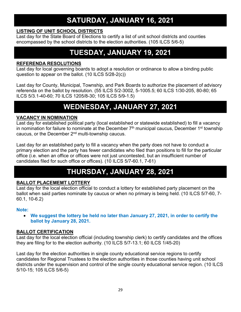### **SATURDAY, JANUARY 16, 2021**

#### **LISTING OF UNIT SCHOOL DISTRICTS**

Last day for the State Board of Elections to certify a list of unit school districts and counties encompassed by the school districts to the election authorities. (105 ILCS 5/6-5)

### **TUESDAY, JANUARY 19, 2021**

#### **REFERENDA RESOLUTIONS**

Last day for local governing boards to adopt a resolution or ordinance to allow a binding public question to appear on the ballot. (10 ILCS 5/28-2(c))

Last day for County, Municipal, Township, and Park Boards to authorize the placement of advisory referenda on the ballot by resolution. (55 ILCS 5/2-3002, 5-1005.5; 60 ILCS 1/30-205, 80-80; 65 ILCS 5/3.1-40-60; 70 ILCS 1205/8-30; 105 ILCS 5/9-1.5)

### **WEDNESDAY, JANUARY 27, 2021**

#### **VACANCY IN NOMINATION**

Last day for established political party (local established or statewide established) to fill a vacancy in nomination for failure to nominate at the December  $7<sup>th</sup>$  municipal caucus, December 1<sup>st</sup> township caucus, or the December 2<sup>nd</sup> multi-township caucus.

Last day for an established party to fill a vacancy when the party does not have to conduct a primary election and the party has fewer candidates who filed than positions to fill for the particular office (i.e. when an office or offices were not just uncontested, but an insufficient number of candidates filed for such office or offices). (10 ILCS 5/7-60.1, 7-61)

### **THURSDAY, JANUARY 28, 2021**

#### **BALLOT PLACEMEMT LOTTERY**

Last day for the local election official to conduct a lottery for established party placement on the ballot when said parties nominate by caucus or when no primary is being held. (10 ILCS 5/7-60, 7- 60.1, 10-6.2)

#### **Note:**

• **We suggest the lottery be held no later than January 27, 2021, in order to certify the ballot by January 28, 2021.** 

#### **BALLOT CERTIFICATION**

Last day for the local election official (including township clerk) to certify candidates and the offices they are filing for to the election authority. (10 ILCS 5/7-13.1; 60 ILCS 1/45-20)

Last day for the election authorities in single county educational service regions to certify candidates for Regional Trustees to the election authorities in those counties having unit school districts under the supervision and control of the single county educational service region. (10 ILCS 5/10-15; 105 ILCS 5/6-5)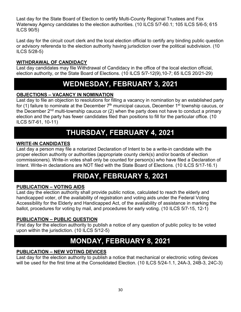Last day for the State Board of Election to certify Multi-County Regional Trustees and Fox Waterway Agency candidates to the election authorities. (10 ILCS 5/7-60.1; 105 ILCS 5/6-5; 615 ILCS 90/5)

Last day for the circuit court clerk and the local election official to certify any binding public question or advisory referenda to the election authority having jurisdiction over the political subdivision. (10 ILCS 5/28-5)

#### **WITHDRAWAL OF CANDIDACY**

Last day candidates may file Withdrawal of Candidacy in the office of the local election official, election authority, or the State Board of Elections. (10 ILCS 5/7-12(9),10-7; 65 ILCS 20/21-29)

### **WEDNESDAY, FEBRUARY 3, 2021**

#### **OBJECTIONS – VACANCY IN NOMINATION**

Last day to file an objection to resolutions for filling a vacancy in nomination by an established party for (1) failure to nominate at the December  $7<sup>th</sup>$  municipal caucus, December 1<sup>st</sup> township caucus, or the December  $2<sup>nd</sup>$  multi-township caucus or (2) when the party does not have to conduct a primary election and the party has fewer candidates filed than positions to fill for the particular office. (10 ILCS 5/7-61, 10-11)

### **THURSDAY, FEBRUARY 4, 2021**

#### **WRITE-IN CANDIDATES**

Last day a person may file a notarized Declaration of Intent to be a write-in candidate with the proper election authority or authorities (appropriate county clerk(s) and/or boards of election commissioners). Write-in votes shall only be counted for person(s) who have filed a Declaration of Intent. Write-in declarations are NOT filed with the State Board of Elections. (10 ILCS 5/17-16.1)

### **FRIDAY, FEBRUARY 5, 2021**

#### **PUBLICATION – VOTING AIDS**

Last day the election authority shall provide public notice, calculated to reach the elderly and handicapped voter, of the availability of registration and voting aids under the Federal Voting Accessibility for the Elderly and Handicapped Act, of the availability of assistance in marking the ballot, procedures for voting by mail, and procedures for early voting. (10 ILCS 5/7-15, 12-1)

#### **PUBLICATION – PUBLIC QUESTION**

First day for the election authority to publish a notice of any question of public policy to be voted upon within the jurisdiction. (10 ILCS 5/12-5)

### **MONDAY, FEBRUARY 8, 2021**

#### **PUBLICATION – NEW VOTING DEVICES**

Last day for the election authority to publish a notice that mechanical or electronic voting devices will be used for the first time at the Consolidated Election. (10 ILCS 5/24-1.1, 24A-3, 24B-3, 24C-3)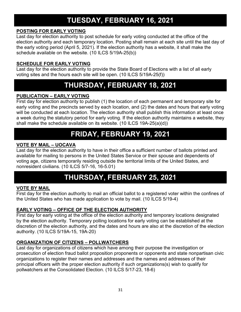### **TUESDAY, FEBRUARY 16, 2021**

#### **POSTING FOR EARLY VOTING**

Last day for election authority to post schedule for early voting conducted at the office of the election authority and each temporary location. Posting shall remain at each site until the last day of the early voting period (April 5, 2021). If the election authority has a website, it shall make the schedule available on the website. (10 ILCS 5/19A-25(b))

#### **SCHEDULE FOR EARLY VOTING**

Last day for the election authority to provide the State Board of Elections with a list of all early voting sites and the hours each site will be open. (10 ILCS 5/19A-25(f))

### **THURSDAY, FEBRUARY 18, 2021**

#### **PUBLICATION – EARLY VOTING**

First day for election authority to publish (1) the location of each permanent and temporary site for early voting and the precincts served by each location, and (2) the dates and hours that early voting will be conducted at each location. The election authority shall publish this information at least once a week during the statutory period for early voting. If the election authority maintains a website, they shall make the schedule available on its website. (10 ILCS 19A-25(a)(d))

### **FRIDAY, FEBRUARY 19, 2021**

#### **VOTE BY MAIL – UOCAVA**

Last day for the election authority to have in their office a sufficient number of ballots printed and available for mailing to persons in the United States Service or their spouse and dependents of voting age, citizens temporarily residing outside the territorial limits of the United States, and nonresident civilians. (10 ILCS 5/7-16, 16-5.01)

### **THURSDAY, FEBRUARY 25, 2021**

#### **VOTE BY MAIL**

First day for the election authority to mail an official ballot to a registered voter within the confines of the United States who has made application to vote by mail. (10 ILCS 5/19-4)

#### **EARLY VOTING – OFFICE OF THE ELECTION AUTHORITY**

First day for early voting at the office of the election authority and temporary locations designated by the election authority. Temporary polling locations for early voting can be established at the discretion of the election authority, and the dates and hours are also at the discretion of the election authority. (10 ILCS 5/19A-15, 19A-20)

#### **ORGANIZATION OF CITIZENS – POLLWATCHERS**

Last day for organizations of citizens which have among their purpose the investigation or prosecution of election fraud ballot proposition proponents or opponents and state nonpartisan civic organizations to register their names and addresses and the names and addresses of their principal officers with the proper election authority if such organizations(s) wish to qualify for pollwatchers at the Consolidated Election. (10 ILCS 5/17-23, 18-6)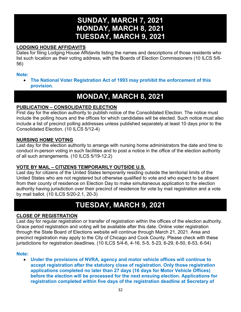### **SUNDAY, MARCH 7, 2021 MONDAY, MARCH 8, 2021 TUESDAY, MARCH 9, 2021**

#### **LODGING HOUSE AFFIDAVITS**

Dates for filing Lodging House Affidavits listing the names and descriptions of those residents who list such location as their voting address, with the Boards of Election Commissioners (10 ILCS 5/6- 56)

#### **Note:**

• **The National Voter Registration Act of 1993 may prohibit the enforcement of this provision.**

### **MONDAY, MARCH 8, 2021**

#### **PUBLICATION – CONSOLIDATED ELECTION**

First day for the election authority to publish notice of the Consolidated Election. The notice must include the polling hours and the offices for which candidates will be elected. Such notice must also include a list of precinct polling addresses unless published separately at least 10 days prior to the Consolidated Election. (10 ILCS 5/12-4)

#### **NURSING HOME VOTING**

Last day for the election authority to arrange with nursing home administrators the date and time to conduct in-person voting in such facilities and to post a notice in the office of the election authority of all such arrangements. (10 ILCS 5/19-12.2)

#### **VOTE BY MAIL – CITIZENS TEMPORARILY OUTSIDE U.S.**

Last day for citizens of the United States temporarily residing outside the territorial limits of the United States who are not registered but otherwise qualified to vote and who expect to be absent from their county of residence on Election Day to make simultaneous application to the election authority having jurisdiction over their precinct of residence for vote by mail registration and a vote by mail ballot. (10 ILCS 5/20-2.1, 20-3)

### **TUESDAY, MARCH 9, 2021**

#### **CLOSE OF REGISTRATION**

Last day for regular registration or transfer of registration within the offices of the election authority. Grace period registration and voting will be available after this date. Online voter registration through the State Board of Elections website will continue through March 21, 2021. Area and precinct registration may apply to the City of Chicago and Cook County. Please check with these jurisdictions for registration deadlines. (10 ILCS 5/4-6, 4-16, 5-5, 5-23, 6-29, 6-50, 6-53, 6-54)

#### **Note:**

• **Under the provisions of NVRA, agency and motor vehicle offices will continue to accept registration after the statutory close of registration. Only those registration applications completed no later than 27 days (16 days for Motor Vehicle Offices) before the election will be processed for the next ensuing election. Applications for registration completed within five days of the registration deadline at Secretary of**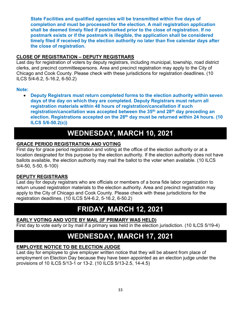**State Facilities and qualified agencies will be transmitted within five days of completion and must be processed for the election. A mail registration application shall be deemed timely filed if postmarked prior to the close of registration. If no postmark exists or if the postmark is illegible, the application shall be considered timely filed if received by the election authority no later than five calendar days after the close of registration.**

#### **CLOSE OF REGISTRATION – DEPUTY REGISTRARS**

Last day for registration of voters by deputy registrars, including municipal, township, road district clerks, and precinct committeepersons. Area and precinct registration may apply to the City of Chicago and Cook County. Please check with these jurisdictions for registration deadlines. (10 ILCS 5/4-6.2, 5-16.2, 6-50.2)

#### **Note:**

• **Deputy Registrars must return completed forms to the election authority within seven days of the day on which they are completed. Deputy Registrars must return all registration materials within 48 hours of registration/cancellation if such registration/cancellation was accepted between the 35th and 28th day preceding an election. Registrations accepted on the 28th day must be returned within 24 hours. (10 ILCS 5/6-50.2(c))**

### **WEDNESDAY, MARCH 10, 2021**

#### **GRACE PERIOD REGISTRATION AND VOTING**

First day for grace period registration and voting at the office of the election authority or at a location designated for this purpose by the election authority. If the election authority does not have ballots available, the election authority may mail the ballot to the voter when available. (10 ILCS 5/4-50, 5-50, 6-100)

#### **DEPUTY REGISTRARS**

Last day for deputy registrars who are officials or members of a bona fide labor organization to return unused registration materials to the election authority. Area and precinct registration may apply to the City of Chicago and Cook County. Please check with these jurisdictions for the registration deadlines. (10 ILCS 5/4-6.2, 5-16.2, 6-50.2)

### **FRIDAY, MARCH 12, 2021**

#### **EARLY VOTING AND VOTE BY MAIL (IF PRIMARY WAS HELD)**

First day to vote early or by mail if a primary was held in the election jurisdiction. (10 ILCS 5/19-4)

### **WEDNESDAY, MARCH 17, 2021**

#### **EMPLOYEE NOTICE TO BE ELECTION JUDGE**

Last day for employee to give employer written notice that they will be absent from place of employment on Election Day because they have been appointed as an election judge under the provisions of 10 ILCS 5/13-1 or 13-2. (10 ILCS 5/13-2.5, 14-4.5)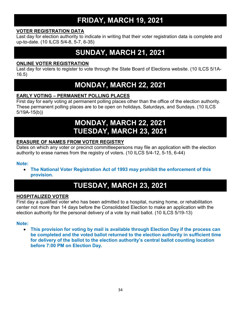### **FRIDAY, MARCH 19, 2021**

#### **VOTER REGISTRATION DATA**

Last day for election authority to indicate in writing that their voter registration data is complete and up-to-date. (10 ILCS 5/4-8, 5-7, 6-35)

### **SUNDAY, MARCH 21, 2021**

#### **ONLINE VOTER REGISTRATION**

Last day for voters to register to vote through the State Board of Elections website. (10 ILCS 5/1A-16.5)

### **MONDAY, MARCH 22, 2021**

#### **EARLY VOTING – PERMANENT POLLING PLACES**

First day for early voting at permanent polling places other than the office of the election authority. These permanent polling places are to be open on holidays, Saturdays, and Sundays. (10 ILCS 5/19A-15(b))

### **MONDAY, MARCH 22, 2021 TUESDAY, MARCH 23, 2021**

#### **ERASURE OF NAMES FROM VOTER REGISTRY**

Dates on which any voter or precinct committeepersons may file an application with the election authority to erase names from the registry of voters. (10 ILCS 5/4-12, 5-15, 6-44)

#### **Note:**

• **The National Voter Registration Act of 1993 may prohibit the enforcement of this provision.**

### **TUESDAY, MARCH 23, 2021**

#### **HOSPITALIZED VOTER**

First day a qualified voter who has been admitted to a hospital, nursing home, or rehabilitation center not more than 14 days before the Consolidated Election to make an application with the election authority for the personal delivery of a vote by mail ballot. (10 ILCS 5/19-13)

#### **Note:**

• **This provision for voting by mail is available through Election Day if the process can be completed and the voted ballot returned to the election authority in sufficient time for delivery of the ballot to the election authority's central ballot counting location before 7:00 PM on Election Day.**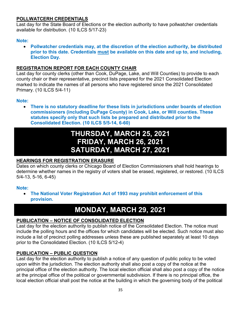#### **POLLWATCERH CREDENTIALS**

Last day for the State Board of Elections or the election authority to have pollwatcher credentials available for distribution. (10 ILCS 5/17-23)

#### **Note:**

• **Pollwatcher credentials may, at the discretion of the election authority, be distributed prior to this date. Credentials must be available on this date and up to, and including, Election Day.**

#### **REGISTRATION REPORT FOR EACH COUNTY CHAIR**

Last day for county clerks (other than Cook, DuPage, Lake, and Will Counties) to provide to each county chair or their representative, precinct lists prepared for the 2021 Consolidated Election marked to indicate the names of all persons who have registered since the 2021 Consolidated Primary. (10 ILCS 5/4-11)

#### **Note:**

• **There is no statutory deadline for these lists in jurisdictions under boards of election commissioners (including DuPage County) in Cook, Lake, or Will counties. These statutes specify only that such lists be prepared and distributed prior to the Consolidated Election. (10 ILCS 5/5-14, 6-60)**

### **THURSDAY, MARCH 25, 2021 FRIDAY, MARCH 26, 2021 SATURDAY, MARCH 27, 2021**

#### **HEARINGS FOR REGISTRATION ERASURE**

Dates on which county clerks or Chicago Board of Election Commissioners shall hold hearings to determine whether names in the registry of voters shall be erased, registered, or restored, (10 ILCS 5/4-13, 5-16, 6-45)

#### **Note:**

• **The National Voter Registration Act of 1993 may prohibit enforcement of this provision.**

### **MONDAY, MARCH 29, 2021**

#### **PUBLICATION – NOTICE OF CONSOLIDATED ELECTION**

Last day for the election authority to publish notice of the Consolidated Election. The notice must include the polling hours and the offices for which candidates will be elected. Such notice must also include a list of precinct polling addresses unless these are published separately at least 10 days prior to the Consolidated Election. (10 ILCS 5/12-4)

#### **PUBLICATION – PUBLIC QUESTION**

Last day for the election authority to publish a notice of any question of public policy to be voted upon within the jurisdiction. The election authority shall also post a copy of the notice at the principal office of the election authority. The local election official shall also post a copy of the notice at the principal office of the political or governmental subdivision. If there is no principal office, the local election official shall post the notice at the building in which the governing body of the political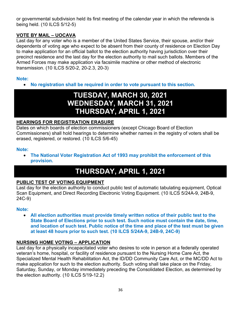or governmental subdivision held its first meeting of the calendar year in which the referenda is being held. (10 ILCS 5/12-5)

#### **VOTE BY MAIL – UOCAVA**

Last day for any voter who is a member of the United States Service, their spouse, and/or their dependents of voting age who expect to be absent from their county of residence on Election Day to make application for an official ballot to the election authority having jurisdiction over their precinct residence and the last day for the election authority to mail such ballots. Members of the Armed Forces may make application via facsimile machine or other method of electronic transmission. (10 ILCS 5/20-2, 20-2.3, 20-3)

#### **Note:**

• **No registration shall be required in order to vote pursuant to this section.**

### **TUESDAY, MARCH 30, 2021 WEDNESDAY, MARCH 31, 2021 THURSDAY, APRIL 1, 2021**

#### **HEARINGS FOR REGISTRATION ERASURE**

Dates on which boards of election commissioners (except Chicago Board of Election Commissioners) shall hold hearings to determine whether names in the registry of voters shall be erased, registered, or restored. (10 ILCS 5/6-45)

#### **Note:**

• **The National Voter Registration Act of 1993 may prohibit the enforcement of this provision.**

### **THURSDAY, APRIL 1, 2021**

#### **PUBLIC TEST OF VOTING EQUIPMENT**

Last day for the election authority to conduct public test of automatic tabulating equipment, Optical Scan Equipment, and Direct Recording Electronic Voting Equipment. (10 ILCS 5/24A-9, 24B-9, 24C-9)

#### **Note:**

• **All election authorities must provide timely written notice of their public test to the State Board of Elections prior to such test. Such notice must contain the date, time, and location of such test. Public notice of the time and place of the test must be given at least 48 hours prior to such test. (10 ILCS 5/24A-9, 24B-9, 24C-9)**

#### **NURSING HOME VOTING – APPLICATION**

Last day for a physically incapacitated voter who desires to vote in person at a federally operated veteran's home, hospital, or facility of residence pursuant to the Nursing Home Care Act, the Specialized Mental Health Rehabilitation Act, the ID/DD Community Care Act, or the MC/DD Act to make application for such to the election authority. Such voting shall take place on the Friday, Saturday, Sunday, or Monday immediately preceding the Consolidated Election, as determined by the election authority. (10 ILCS 5/19-12.2)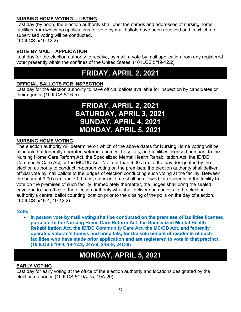#### **NURSING HOME VOTING – LISTING**

Last day (by noon) the election authority shall post the names and addresses of nursing home facilities from which no applications for vote by mail ballots have been received and in which no supervised voting will be conducted.

(10 ILCS 5/19-12.2)

#### **VOTE BY MAIL – APPLICATION**

Last day for the election authority to receive, by mail, a vote by mail application from any registered voter presently within the confines of the United States. (10 ILCS 5/19-12.2)

### **FRIDAY, APRIL 2, 2021**

#### **OFFICIAL BALLOTS FOR INSPECTION**

Last day for the election authority to have official ballots available for inspection by candidates or their agents. (10 ILCS 5/16-5)

### **FRIDAY, APRIL 2, 2021 SATURDAY, APRIL 3, 2021 SUNDAY, APRIL 4, 2021 MONDAY, APRIL 5, 2021**

#### **NURSING HOME VOTING**

The election authority will determine on which of the above dates for Nursing Home voting will be conducted at federally operated veteran's homes, hospitals, and facilities licensed pursuant to the Nursing Home Care Reform Act, the Specialized Mental Health Rehabilitation Act, the ID/DD Community Care Act, or the MC/DD Act. No later than 9:00 a.m. of the day designated by the election authority to conduct in-person voting on the premises, the election authority shall deliver official vote by mail ballots to the judges of election conducting such voting at the facility. Between the hours of 9:00 a.m. and 7:00 p.m., sufficient time shall be allowed for residents of the facility to vote on the premises of such facility. Immediately thereafter, the judges shall bring the sealed envelope to the office of the election authority who shall deliver such ballots to the election authority's central ballot counting location prior to the closing of the polls on the day of election. (10 ILCS 5/19-4, 19-12.2)

#### **Note:**

• **In person vote by mail voting shall be conducted on the premises of facilities licensed pursuant to the Nursing Home Care Reform Act, the Specialized Mental Health Rehabilitation Act, the ID/DD Community Care Act, the MC/DD Act, and federally operated veteran's homes and hospitals, for the sole benefit of residents of such facilities who have made prior application and are registered to vote in that precinct. (10 ILCS 5/19-4, 19-12.2, 24A-9, 24B-9, 24C-9)**

### **MONDAY, APRIL 5, 2021**

#### **EARLY VOTING**

Last day for early voting at the office of the election authority and locations designated by the election authority. (10 ILCS 5/19A-15, 19A-20)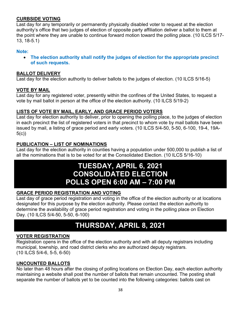#### **CURBSIDE VOTING**

Last day for any temporarily or permanently physically disabled voter to request at the election authority's office that two judges of election of opposite party affiliation deliver a ballot to them at the point where they are unable to continue forward motion toward the polling place. (10 ILCS 5/17- 13, 18-5.1)

#### **Note:**

• **The election authority shall notify the judges of election for the appropriate precinct of such requests.** 

#### **BALLOT DELIVERY**

Last day for the election authority to deliver ballots to the judges of election. (10 ILCS 5/16-5)

#### **VOTE BY MAIL**

Last day for any registered voter, presently within the confines of the United States, to request a vote by mail ballot in person at the office of the election authority. (10 ILCS 5/19-2)

#### **LISTS OF VOTE BY MAIL, EARLY, AND GRACE PERIOD VOTERS**

Last day for election authority to deliver, prior to opening the polling place, to the judges of election in each precinct the list of registered voters in that precinct to whom vote by mail ballots have been issued by mail, a listing of grace period and early voters. (10 ILCS 5/4-50, 5-50, 6-100, 19-4, 19A- $5(c)$ 

#### **PUBLICATION – LIST OF NOMINATIONS**

Last day for the election authority in counties having a population under 500,000 to publish a list of all the nominations that is to be voted for at the Consolidated Election. (10 ILCS 5/16-10)

### **TUESDAY, APRIL 6, 2021 CONSOLIDATED ELECTION POLLS OPEN 6:00 AM – 7:00 PM**

#### **GRACE PERIOD REGISTRATION AND VOTING**

Last day of grace period registration and voting in the office of the election authority or at locations designated for this purpose by the election authority. Please contact the election authority to determine the availability of grace period registration and voting in the polling place on Election Day. (10 ILCS 5/4-50, 5-50, 6-100)

### **THURSDAY, APRIL 8, 2021**

#### **VOTER REGISTRATION**

Registration opens in the office of the election authority and with all deputy registrars including municipal, township, and road district clerks who are authorized deputy registrars. (10 ILCS 5/4-6, 5-5, 6-50)

#### **UNCOUNTED BALLOTS**

No later than 48 hours after the closing of polling locations on Election Day, each election authority maintaining a website shall post the number of ballots that remain uncounted. The posting shall separate the number of ballots yet to be counted into the following categories: ballots cast on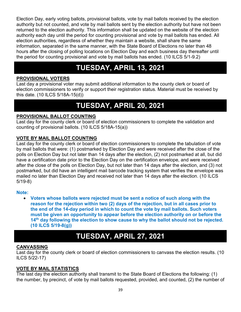Election Day, early voting ballots, provisional ballots, vote by mail ballots received by the election authority but not counted, and vote by mail ballots sent by the election authority but have not been returned to the election authority. This information shall be updated on the website of the election authority each day until the period for counting provisional and vote by mail ballots has ended. All election authorities, regardless of whether they maintain a website, shall share the same information, separated in the same manner, with the State Board of Elections no later than 48 hours after the closing of polling locations on Election Day and each business day thereafter until the period for counting provisional and vote by mail ballots has ended. (10 ILCS 5/1-9.2)

### **TUESDAY, APRIL 13, 2021**

#### **PROVISIONAL VOTERS**

Last day a provisional voter may submit additional information to the county clerk or board of election commissioners to verify or support their registration status. Material must be received by this date. (10 ILCS 5/18A-15(d))

### **TUESDAY, APRIL 20, 2021**

#### **PROVISIONAL BALLOT COUNTING**

Last day for the county clerk or board of election commissioners to complete the validation and counting of provisional ballots. (10 ILCS 5/18A-15(a))

#### **VOTE BY MAIL BALLOT COUNTING**

Last day for the county clerk or board of election commissioners to complete the tabulation of vote by mail ballots that were: (1) postmarked by Election Day and were received after the close of the polls on Election Day but not later than 14 days after the election, (2) not postmarked at all, but did have a certification date prior to the Election Day on the certification envelope, and were received after the close of the polls on Election Day, but not later than 14 days after the election, and (3) not postmarked, but did have an intelligent mail barcode tracking system that verifies the envelope was mailed no later than Election Day and received not later than 14 days after the election. (10 ILCS 5/19-8)

#### **Note:**

• **Voters whose ballots were rejected must be sent a notice of such along with the reason for the rejection within two (2) days of the rejection, but in all cases prior to the end of the 14-day period in which to count the vote by mail ballots. Such voters must be given an opportunity to appear before the election authority on or before the 14th day following the election to show cause to why the ballot should not be rejected. (10 ILCS 5/19-8(g))**

### **TUESDAY, APRIL 27, 2021**

#### **CANVASSING**

Last day for the county clerk or board of election commissioners to canvass the election results. (10 ILCS 5/22-17)

#### **VOTE BY MAIL STATISTICS**

The last day the election authority shall transmit to the State Board of Elections the following: (1) the number, by precinct, of vote by mail ballots requested, provided, and counted, (2) the number of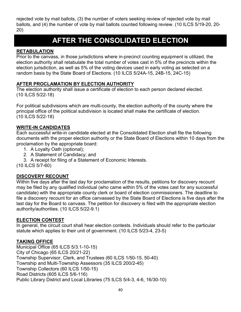rejected vote by mail ballots, (3) the number of voters seeking review of rejected vote by mail ballots, and (4) the number of vote by mail ballots counted following review. (10 ILCS 5/19-20, 20- 20)

### **AFTER THE CONSOLIDATED ELECTION**

#### **RETABULATION**

Prior to the canvass, in those jurisdictions where in-precinct counting equipment is utilized, the election authority shall retabulate the total number of votes cast in 5% of the precincts within the election jurisdiction, as well as 5% of the voting devices used in early voting as selected on a random basis by the State Board of Elections. (10 ILCS 5/24A-15, 24B-15, 24C-15)

#### **AFTER PROCLAMATION BY ELECTION AUTHORITY**

The election authority shall issue a certificate of election to each person declared elected. (10 ILCS 5/22-18)

For political subdivisions which are multi-county, the election authority of the county where the principal office of the political subdivision is located shall make the certificate of election. (10 ILCS 5/22-18)

#### **WRITE-IN CANDIDATES**

Each successful write-in candidate elected at the Consolidated Election shall file the following documents with the proper election authority or the State Board of Elections within 10 days from the proclamation by the appropriate board:

- 1. A Loyalty Oath (optional);
- 2. A Statement of Candidacy; and
- 3. A receipt for filing of a Statement of Economic Interests.

(10 ILCS 5/7-60)

#### **DISCOVERY RECOUNT**

Within five days after the last day for proclamation of the results, petitions for discovery recount may be filed by any qualified individual (who came within 5% of the votes cast for any successful candidate) with the appropriate county clerk or board of election commissioners. The deadline to file a discovery recount for an office canvassed by the State Board of Elections is five days after the last day for the Board to canvass. The petition for discovery is filed with the appropriate election authority/authorities. (10 ILCS 5/22-9.1)

#### **ELECTION CONTEST**

In general, the circuit court shall hear election contests. Individuals should refer to the particular statute which applies to their unit of government. (10 ILCS 5/23-4, 23-5)

#### **TAKING OFFICE**

Municipal Office (65 ILCS 5/3.1-10-15) City of Chicago (65 ILCS 20/21-22) Township Supervisor, Clerk, and Trustees (60 ILCS 1/50-15, 50-40) Township and Multi-Township Assessors (35 ILCS 200/2-45) Township Collectors (60 ILCS 1/50-15) Road Districts (605 ILCS 5/6-116) Public Library District and Local Libraries (75 ILCS 5/4-3, 4-6, 16/30-10)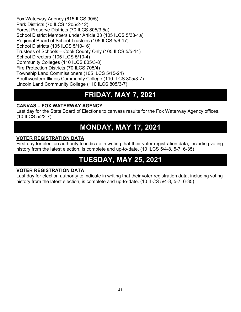Fox Waterway Agency (615 ILCS 90/5) Park Districts (70 ILCS 1205/2-12) Forest Preserve Districts (70 ILCS 805/3.5a) School District Members under Article 33 (105 ILCS 5/33-1a) Regional Board of School Trustees (105 ILCS 5/6-17) School Districts (105 ILCS 5/10-16) Trustees of Schools – Cook County Only (105 ILCS 5/5-14) School Directors (105 ILCS 5/10-4) Community Colleges (110 ILCS 805/3-8) Fire Protection Districts (70 ILCS 705/4) Township Land Commissioners (105 ILCS 5/15-24) Southwestern Illinois Community College (110 ILCS 805/3-7) Lincoln Land Community College (110 ILCS 805/3-7)

### **FRIDAY, MAY 7, 2021**

#### **CANVAS – FOX WATERWAY AGENCY**

Last day for the State Board of Elections to canvass results for the Fox Waterway Agency offices. (10 ILCS 5/22-7)

### **MONDAY, MAY 17, 2021**

#### **VOTER REGISTRATION DATA**

First day for election authority to indicate in writing that their voter registration data, including voting history from the latest election, is complete and up-to-date. (10 ILCS 5/4-8, 5-7, 6-35)

### **TUESDAY, MAY 25, 2021**

#### **VOTER REGISTRATION DATA**

Last day for election authority to indicate in writing that their voter registration data, including voting history from the latest election, is complete and up-to-date. (10 ILCS 5/4-8, 5-7, 6-35)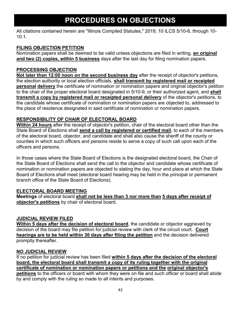### **PROCEDURES ON OBJECTIONS**

All citations contained herein are "Illinois Compiled Statutes," 2019, 10 ILCS 5/10-8, through 10- 10.1.

#### **FILING OBJECTION PETITION**

Nomination papers shall be deemed to be valid unless objections are filed in writing, **an original and two (2) copies, within 5 business** days after the last day for filing nomination papers.

#### **PROCESSING OBJECTION**

**Not later than 12:00 noon on the second business day** after the receipt of objector's petitions, the election authority or local election officials, **shall transmit by registered mail or receipted personal delivery** the certificate of nomination or nomination papers and original objector's petition to the chair of the proper electoral board designated in 5/10-9, or their authorized agent, and **shall transmit a copy by registered mail or receipted personal delivery** of the objector's petitions, to the candidate whose certificate of nomination or nomination papers are objected to, addressed to the place of residence designated in said certificate of nomination or nomination papers.

#### **RESPONSIBILITY OF CHAIR OF ELECTORAL BOARD**

**Within 24 hours** after the receipt of objector's petition, chair of the electoral board other than the State Board of Elections shall **send a call by registered or certified mail**, to each of the members of the electoral board, objector, and candidate and shall also cause the sheriff of the county or counties in which such officers and persons reside to serve a copy of such call upon each of the officers and persons.

In those cases where the State Board of Elections is the designated electoral board, the Chair of the State Board of Elections shall send the call to the objector and candidate whose certificate of nomination or nomination papers are objected to stating the day, hour and place at which the State Board of Elections shall meet (electoral board hearing may be held in the principal or permanent branch office of the State Board of Elections).

#### **ELECTORAL BOARD MEETING**

**Meetings** of electoral board **shall not be less than 3 nor more than 5 days after receipt of objector's petitions** by chair of electoral board.

#### **JUDICIAL REVIEW FILED**

**Within 5 days after the decision of electoral board**, the candidate or objector aggrieved by decision of the board may file petition for judicial review with clerk of the circuit court. **Court hearings are to be held within 30 days after filing the petition** and the decision delivered promptly thereafter.

#### **NO JUDICIAL REVIEW**

If no petition for judicial review has been filed **within 5 days after the decision of the electoral board, the electoral board shall transmit a copy of its ruling together with the original certificate of nomination or nomination papers or petitions and the original objector's petitions** to the officers or board with whom they were on file and such officer or board shall abide by and comply with the ruling so made to all intents and purposes.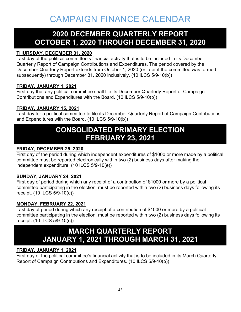### **2020 DECEMBER QUARTERLY REPORT OCTOBER 1, 2020 THROUGH DECEMBER 31, 2020**

#### **THURSDAY, DECEMBER 31, 2020**

Last day of the political committee's financial activity that is to be included in its December Quarterly Report of Campaign Contributions and Expenditures. The period covered by the December Quarterly Report extends from October 1, 2020 (or later if the committee was formed subsequently) through December 31, 2020 inclusively. (10 ILCS 5/9-10(b))

#### **FRIDAY, JANUARY 1, 2021**

First day that any political committee shall file its December Quarterly Report of Campaign Contributions and Expenditures with the Board. (10 ILCS 5/9-10(b))

#### **FRIDAY, JANUARY 15, 2021**

Last day for a political committee to file its December Quarterly Report of Campaign Contributions and Expenditures with the Board. (10 ILCS 5/9-10(b))

### **CONSOLIDATED PRIMARY ELECTION FEBRUARY 23, 2021**

#### **FRIDAY, DECEMBER 25, 2020**

First day of the period during which independent expenditures of \$1000 or more made by a political committee must be reported electronically within two (2) business days after making the independent expenditure. (10 ILCS 5/9-10(e))

#### **SUNDAY, JANUARY 24, 2021**

First day of period during which any receipt of a contribution of \$1000 or more by a political committee participating in the election, must be reported within two (2) business days following its receipt. (10 ILCS 5/9-10(c))

#### **MONDAY, FEBRUARY 22, 2021**

Last day of period during which any receipt of a contribution of \$1000 or more by a political committee participating in the election, must be reported within two (2) business days following its receipt. (10 ILCS 5/9-10(c))

### **MARCH QUARTERLY REPORT JANUARY 1, 2021 THROUGH MARCH 31, 2021**

#### **FRIDAY, JANUARY 1, 2021**

First day of the political committee's financial activity that is to be included in its March Quarterly Report of Campaign Contributions and Expenditures. (10 ILCS 5/9-10(b))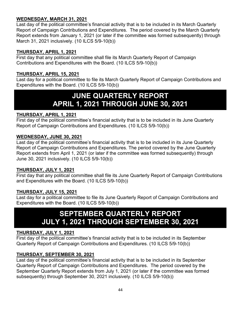#### **WEDNESDAY, MARCH 31, 2021**

Last day of the political committee's financial activity that is to be included in its March Quarterly Report of Campaign Contributions and Expenditures. The period covered by the March Quarterly Report extends from January 1, 2021 (or later if the committee was formed subsequently) through March 31, 2021 inclusively. (10 ILCS 5/9-10(b))

#### **THURSDAY, APRIL 1, 2021**

First day that any political committee shall file its March Quarterly Report of Campaign Contributions and Expenditures with the Board. (10 ILCS 5/9-10(b))

#### **THURSDAY, APRIL 15, 2021**

Last day for a political committee to file its March Quarterly Report of Campaign Contributions and Expenditures with the Board. (10 ILCS 5/9-10(b))

### **JUNE QUARTERLY REPORT APRIL 1, 2021 THROUGH JUNE 30, 2021**

#### **THURSDAY, APRIL 1, 2021**

First day of the political committee's financial activity that is to be included in its June Quarterly Report of Campaign Contributions and Expenditures. (10 ILCS 5/9-10(b))

#### **WEDNESDAY, JUNE 30, 2021**

Last day of the political committee's financial activity that is to be included in its June Quarterly Report of Campaign Contributions and Expenditures. The period covered by the June Quarterly Report extends from April 1, 2021 (or later if the committee was formed subsequently) through June 30, 2021 inclusively. (10 ILCS 5/9-10(b))

#### **THURSDAY, JULY 1, 2021**

First day that any political committee shall file its June Quarterly Report of Campaign Contributions and Expenditures with the Board. (10 ILCS 5/9-10(b))

#### **THURSDAY, JULY 15, 2021**

Last day for a political committee to file its June Quarterly Report of Campaign Contributions and Expenditures with the Board. (10 ILCS 5/9-10(b))

### **SEPTEMBER QUARTERLY REPORT JULY 1, 2021 THROUGH SEPTEMBER 30, 2021**

#### **THURSDAY, JULY 1, 2021**

First day of the political committee's financial activity that is to be included in its September Quarterly Report of Campaign Contributions and Expenditures. (10 ILCS 5/9-10(b))

#### **THURSDAY, SEPTEMBER 30, 2021**

Last day of the political committee's financial activity that is to be included in its September Quarterly Report of Campaign Contributions and Expenditures. The period covered by the September Quarterly Report extends from July 1, 2021 (or later if the committee was formed subsequently) through September 30, 2021 inclusively. (10 ILCS 5/9-10(b))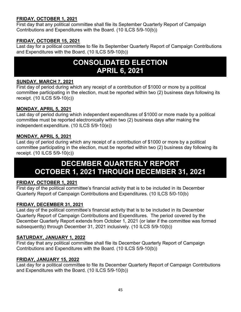#### **FRIDAY, OCTOBER 1, 2021**

First day that any political committee shall file its September Quarterly Report of Campaign Contributions and Expenditures with the Board. (10 ILCS 5/9-10(b))

#### **FRIDAY, OCTOBER 15, 2021**

Last day for a political committee to file its September Quarterly Report of Campaign Contributions and Expenditures with the Board. (10 ILCS 5/9-10(b))

### **CONSOLIDATED ELECTION APRIL 6, 2021**

#### **SUNDAY, MARCH 7, 2021**

First day of period during which any receipt of a contribution of \$1000 or more by a political committee participating in the election, must be reported within two (2) business days following its receipt. (10 ILCS 5/9-10(c))

#### **MONDAY, APRIL 5, 2021**

Last day of period during which independent expenditures of \$1000 or more made by a political committee must be reported electronically within two (2) business days after making the independent expenditure. (10 ILCS 5/9-10(e))

#### **MONDAY, APRIL 5, 2021**

Last day of period during which any receipt of a contribution of \$1000 or more by a political committee participating in the election, must be reported within two (2) business day following its receipt. (10 ILCS 5/9-10(c))

### **DECEMBER QUARTERLY REPORT OCTOBER 1, 2021 THROUGH DECEMBER 31, 2021**

#### **FRIDAY, OCTOBER 1, 2021**

First day of the political committee's financial activity that is to be included in its December Quarterly Report of Campaign Contributions and Expenditures. (10 ILCS 5/0-10(b)

#### **FRIDAY, DECEMBER 31, 2021**

Last day of the political committee's financial activity that is to be included in its December Quarterly Report of Campaign Contributions and Expenditures. The period covered by the December Quarterly Report extends from October 1, 2021 (or later if the committee was formed subsequently) through December 31, 2021 inclusively. (10 ILCS 5/9-10(b))

#### **SATURDAY, JANUARY 1, 2022**

First day that any political committee shall file its December Quarterly Report of Campaign Contributions and Expenditures with the Board. (10 ILCS 5/9-10(b))

#### **FRIDAY, JANUARY 15, 2022**

Last day for a political committee to file its December Quarterly Report of Campaign Contributions and Expenditures with the Board. (10 ILCS 5/9-10(b))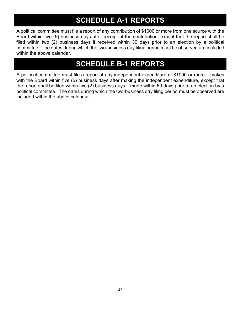### **SCHEDULE A-1 REPORTS**

A political committee must file a report of any contribution of \$1000 or more from one source with the Board within five (5) business days after receipt of the contribution, except that the report shall be filed within two (2) business days if received within 30 days prior to an election by a political committee. The dates during which the two-business day filing period must be observed are included within the above calendar.

### **SCHEDULE B-1 REPORTS**

A political committee must file a report of any independent expenditure of \$1000 or more it makes with the Board within five (5) business days after making the independent expenditure, except that the report shall be filed within two (2) business days if made within 60 days prior to an election by a political committee. The dates during which the two-business day filing period must be observed are included within the above calendar